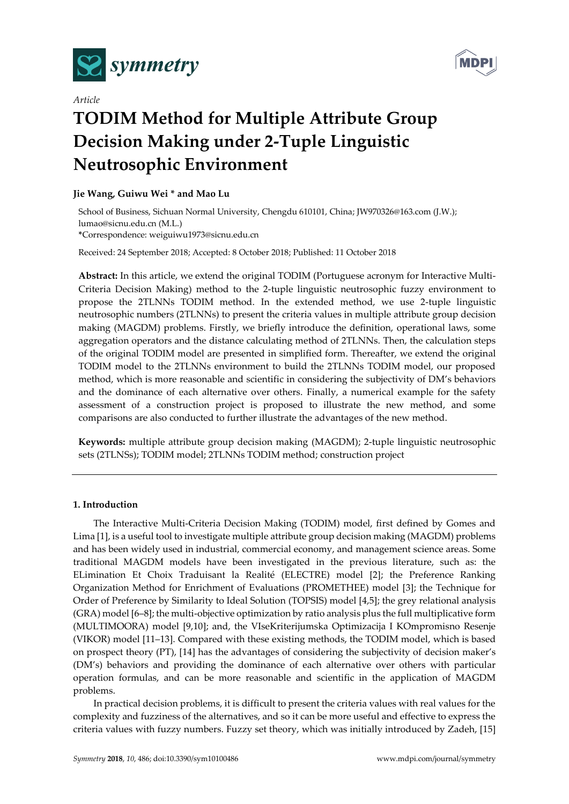

*Article*



# **TODIM Method for Multiple Attribute Group Decision Making under 2-Tuple Linguistic Neutrosophic Environment**

## **Jie Wang, Guiwu Wei \* and Mao Lu**

School of Business, Sichuan Normal University, Chengdu 610101, China; JW970326@163.com (J.W.); lumao@sicnu.edu.cn (M.L.) **\***Correspondence: weiguiwu1973@sicnu.edu.cn

Received: 24 September 2018; Accepted: 8 October 2018; Published: 11 October 2018

**Abstract:** In this article, we extend the original TODIM (Portuguese acronym for Interactive Multi-Criteria Decision Making) method to the 2-tuple linguistic neutrosophic fuzzy environment to propose the 2TLNNs TODIM method. In the extended method, we use 2-tuple linguistic neutrosophic numbers (2TLNNs) to present the criteria values in multiple attribute group decision making (MAGDM) problems. Firstly, we briefly introduce the definition, operational laws, some aggregation operators and the distance calculating method of 2TLNNs. Then, the calculation steps of the original TODIM model are presented in simplified form. Thereafter, we extend the original TODIM model to the 2TLNNs environment to build the 2TLNNs TODIM model, our proposed method, which is more reasonable and scientific in considering the subjectivity of DM's behaviors and the dominance of each alternative over others. Finally, a numerical example for the safety assessment of a construction project is proposed to illustrate the new method, and some comparisons are also conducted to further illustrate the advantages of the new method.

**Keywords:** multiple attribute group decision making (MAGDM); 2-tuple linguistic neutrosophic sets (2TLNSs); TODIM model; 2TLNNs TODIM method; construction project

## **1. Introduction**

The Interactive Multi-Criteria Decision Making (TODIM) model, first defined by Gomes and Lima [1], is a useful tool to investigate multiple attribute group decision making (MAGDM) problems and has been widely used in industrial, commercial economy, and management science areas. Some traditional MAGDM models have been investigated in the previous literature, such as: the ELimination Et Choix Traduisant la Realité (ELECTRE) model [2]; the Preference Ranking Organization Method for Enrichment of Evaluations (PROMETHEE) model [3]; the Technique for Order of Preference by Similarity to Ideal Solution (TOPSIS) model [4,5]; the grey relational analysis (GRA) model [6–8]; the multi-objective optimization by ratio analysis plus the full multiplicative form (MULTIMOORA) model [9,10]; and, the VIseKriterijumska Optimizacija I KOmpromisno Resenje (VIKOR) model [11–13]. Compared with these existing methods, the TODIM model, which is based on prospect theory (PT), [14] has the advantages of considering the subjectivity of decision maker's (DM's) behaviors and providing the dominance of each alternative over others with particular operation formulas, and can be more reasonable and scientific in the application of MAGDM problems.

In practical decision problems, it is difficult to present the criteria values with real values for the complexity and fuzziness of the alternatives, and so it can be more useful and effective to express the criteria values with fuzzy numbers. Fuzzy set theory, which was initially introduced by Zadeh, [15]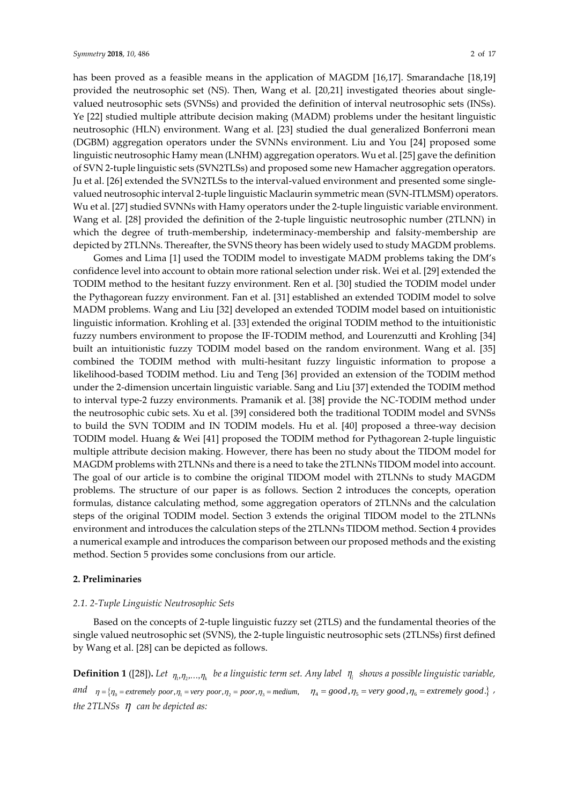has been proved as a feasible means in the application of MAGDM [16,17]. Smarandache [18,19] provided the neutrosophic set (NS). Then, Wang et al. [20,21] investigated theories about singlevalued neutrosophic sets (SVNSs) and provided the definition of interval neutrosophic sets (INSs). Ye [22] studied multiple attribute decision making (MADM) problems under the hesitant linguistic neutrosophic (HLN) environment. Wang et al. [23] studied the dual generalized Bonferroni mean (DGBM) aggregation operators under the SVNNs environment. Liu and You [24] proposed some linguistic neutrosophic Hamy mean (LNHM) aggregation operators. Wu et al. [25] gave the definition of SVN 2-tuple linguistic sets (SVN2TLSs) and proposed some new Hamacher aggregation operators. Ju et al. [26] extended the SVN2TLSs to the interval-valued environment and presented some singlevalued neutrosophic interval 2-tuple linguistic Maclaurin symmetric mean (SVN-ITLMSM) operators. Wu et al. [27] studied SVNNs with Hamy operators under the 2-tuple linguistic variable environment. Wang et al. [28] provided the definition of the 2-tuple linguistic neutrosophic number (2TLNN) in which the degree of truth-membership, indeterminacy-membership and falsity-membership are depicted by 2TLNNs. Thereafter, the SVNS theory has been widely used to study MAGDM problems.

Gomes and Lima [1] used the TODIM model to investigate MADM problems taking the DM's confidence level into account to obtain more rational selection under risk. Wei et al. [29] extended the TODIM method to the hesitant fuzzy environment. Ren et al. [30] studied the TODIM model under the Pythagorean fuzzy environment. Fan et al. [31] established an extended TODIM model to solve MADM problems. Wang and Liu [32] developed an extended TODIM model based on intuitionistic linguistic information. Krohling et al. [33] extended the original TODIM method to the intuitionistic fuzzy numbers environment to propose the IF-TODIM method, and Lourenzutti and Krohling [34] built an intuitionistic fuzzy TODIM model based on the random environment. Wang et al. [35] combined the TODIM method with multi-hesitant fuzzy linguistic information to propose a likelihood-based TODIM method. Liu and Teng [36] provided an extension of the TODIM method under the 2-dimension uncertain linguistic variable. Sang and Liu [37] extended the TODIM method to interval type-2 fuzzy environments. Pramanik et al. [38] provide the NC-TODIM method under the neutrosophic cubic sets. Xu et al. [39] considered both the traditional TODIM model and SVNSs to build the SVN TODIM and IN TODIM models. Hu et al. [40] proposed a three-way decision TODIM model. Huang & Wei [41] proposed the TODIM method for Pythagorean 2-tuple linguistic multiple attribute decision making. However, there has been no study about the TIDOM model for MAGDM problems with 2TLNNs and there is a need to take the 2TLNNs TIDOM model into account. The goal of our article is to combine the original TIDOM model with 2TLNNs to study MAGDM problems. The structure of our paper is as follows. Section 2 introduces the concepts, operation formulas, distance calculating method, some aggregation operators of 2TLNNs and the calculation steps of the original TODIM model. Section 3 extends the original TIDOM model to the 2TLNNs environment and introduces the calculation steps of the 2TLNNs TIDOM method. Section 4 provides a numerical example and introduces the comparison between our proposed methods and the existing method. Section 5 provides some conclusions from our article.

## **2. Preliminaries**

#### *2.1. 2-Tuple Linguistic Neutrosophic Sets*

Based on the concepts of 2-tuple linguistic fuzzy set (2TLS) and the fundamental theories of the single valued neutrosophic set (SVNS), the 2-tuple linguistic neutrosophic sets (2TLNSs) first defined by Wang et al. [28] can be depicted as follows.

 $\bf{Definition~1~}$  ([28]). Let  $\eta_1,\eta_2,...,\eta_k$  be a linguistic term set. Any label  $\;\eta_i\;$  shows a possible linguistic variable, and  $\eta = \{\eta_0 = \text{extremely poor}, \eta_1 = \text{very poor}, \eta_2 = \text{poor}, \eta_3 = \text{medium}, \eta_4 = \text{good}, \eta_5 = \text{very good}, \eta_6 = \text{extremely good.}\}$ *the 2TLNSs can be depicted as:*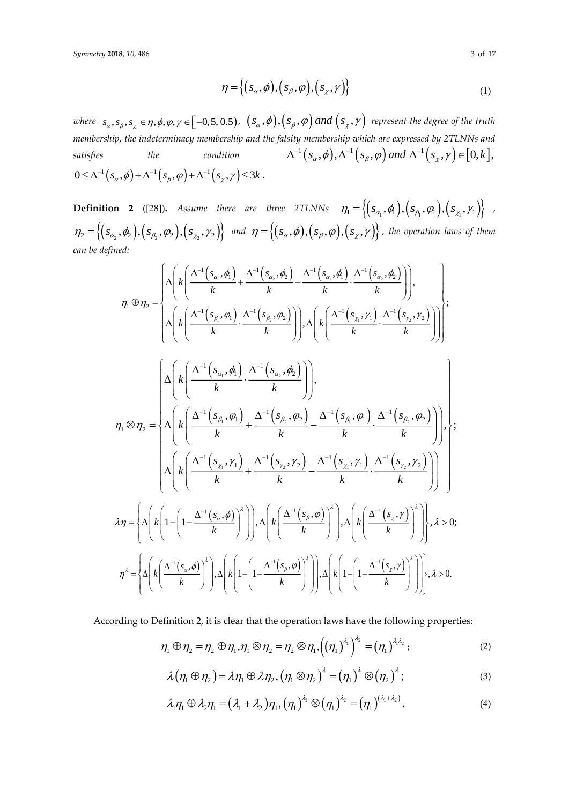$$
\eta = \left\{ (s_{\alpha}, \phi), (s_{\beta}, \phi), (s_{\chi}, \gamma) \right\} \tag{1}
$$

where  $s_\alpha, s_\beta, s_z \in \eta, \phi, \varphi, \gamma \in [-0, 5, 0.5)$ ,  $(s_\alpha, \phi), (s_\beta, \varphi)$  and  $(s_z, \gamma)$  represent the degree of the truth *membership, the indeterminacy membership and the falsity membership which are expressed by 2TLNNs and satisfies the condition*  $\Delta^{-1}\left(s_{\alpha}, \phi\right), \Delta^{-1}\left(s_{\beta}, \phi\right)$  and  $\Delta^{-1}\left(s_{\chi}, \gamma\right) \in [0, k],$ satisfies the condition<br>  $0 \le \Delta^{-1} (s_\alpha, \phi) + \Delta^{-1} (s_\beta, \phi) + \Delta^{-1} (s_\chi, \gamma) \le 3k$ .

**Definition 2** ([28]). Assume there are three 2TLNNs  $\eta_1 = \left\{ (s_{\alpha_1}, \phi_1), (s_{\beta_1}, \phi_1), (s_{\chi_1}, \gamma_1) \right\}$  $\eta_2 = \left\{ (s_{\alpha_2}, \phi_2), (s_{\beta_2}, \phi_2), (s_{\chi_2}, \gamma_2) \right\}$  and  $\eta = \left\{ (s_{\alpha}, \phi), (s_{\beta}, \phi), (s_{\chi}, \gamma) \right\}$ , the operation laws of them *can be defined:*

$$
\eta_{1} \oplus \eta_{2} = \begin{cases}\n\Delta\left(k\left(\frac{\Delta^{-1}\left(s_{\alpha}, \phi\right)}{k} + \frac{\Delta^{-1}\left(s_{\alpha}, \phi\right)}{k} - \frac{\Delta^{-1}\left(s_{\alpha}, \phi\right)}{k} \cdot \frac{\Delta^{-1}\left(s_{\alpha}, \phi\right)}{k}\right)\right), \\
\Delta\left(k\left(\frac{\Delta^{-1}\left(s_{\beta}, \phi\right)}{k} \cdot \frac{\Delta^{-1}\left(s_{\beta}, \phi\right)}{k}\right)\right), \Delta\left(k\left(\frac{\Delta^{-1}\left(s_{\alpha}, \gamma\right)}{k} \cdot \frac{\Delta^{-1}\left(s_{\gamma}, \gamma\right)}{k}\right)\right)\right); \\
\Gamma\left(\frac{\Delta\left(k\left(\frac{\Delta^{-1}\left(s_{\alpha}, \phi\right)}{k} \cdot \frac{\Delta^{-1}\left(s_{\alpha}, \phi\right)}{k}\right)\right)}{k}\right), \\
\eta_{1} \otimes \eta_{2} = \begin{cases}\n\Delta\left(k\left(\frac{\Delta^{-1}\left(s_{\alpha}, \phi\right)}{k} + \frac{\Delta^{-1}\left(s_{\beta}, \phi\right)}{k} - \frac{\Delta^{-1}\left(s_{\beta}, \phi\right)}{k} \cdot \frac{\Delta^{-1}\left(s_{\beta}, \phi\right)}{k}\right)\right), \\
\Delta\left(k\left(\frac{\Delta^{-1}\left(s_{\alpha}, \gamma\right)}{k} + \frac{\Delta^{-1}\left(s_{\gamma}, \gamma\right)}{k} - \frac{\Delta^{-1}\left(s_{\gamma}, \gamma\right)}{k} \cdot \frac{\Delta^{-1}\left(s_{\gamma}, \gamma\right)}{k}\right)\right), \\
\Delta\eta = \begin{cases}\n\Delta\left(k\left(1 - \left(1 - \frac{\Delta^{-1}\left(s_{\alpha}, \phi\right)}{k}\right)^{2}\right)\right), \Delta\left(k\left(\frac{\Delta^{-1}\left(s_{\beta}, \phi\right)}{k}\right)^{2}\right), \Delta\left(k\left(\frac{\Delta^{-1}\left(s_{\gamma}, \gamma\right)}{k}\right)^{2}\right)\right), \\
\lambda \eta = \begin{cases}\n\Delta\left(k\left(1 - \left(1 - \frac{\Delta^{-1}\left(s_{\alpha}, \phi\right)}{k}\right)^{2}\right)\right), \Delta\left(k\left(\frac{\Delta^{-1}\left(s_{\beta}, \phi\right)}{k}\right)^{2}\right)\right), \Delta\left(k\left(1 - \left(1 - \frac{\
$$

According to Definition 2, it is clear that the operation laws have the following properties:

$$
\eta_1\oplus \eta_2=\eta_2\oplus \eta_1, \eta_1\otimes \eta_2=\eta_2\otimes \eta_1, \left(\left(\eta_1\right)^{\lambda_1}\right)^{\lambda_2}=\left(\eta_1\right)^{\lambda_1\lambda_2};
$$
\n(2)

$$
\lambda(\eta_1 \oplus \eta_2) = \lambda \eta_1 \oplus \lambda \eta_2, (\eta_1 \otimes \eta_2)^{\lambda} = (\eta_1)^{\lambda} \otimes (\eta_2)^{\lambda}; \qquad (3)
$$

$$
\lambda_1 \eta_1 \oplus \lambda_2 \eta_1 = (\lambda_1 + \lambda_2) \eta_1, (\eta_1)^{\lambda_1} \otimes (\eta_1)^{\lambda_2} = (\eta_1)^{(\lambda_1 + \lambda_2)}.
$$
 (4)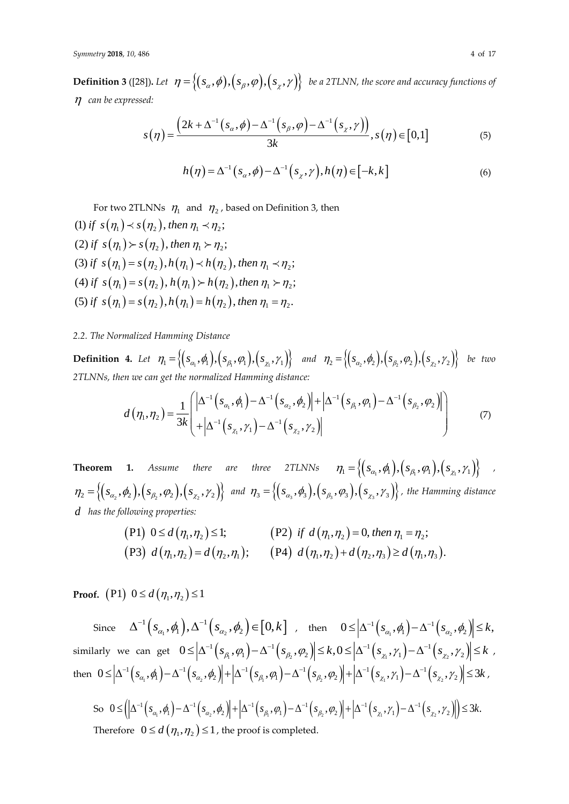$\textbf{Definition 3}$  ([28]). Let  $\ \eta = \big\{ (s_\alpha, \phi), \big(s_\beta, \varphi\big), \big(s_\chi, \gamma\big) \big\} \ \textit{ be a 2TLNN, the score and accuracy functions of } \mathcal{A}$ *can be expressed:*

$$
s(\eta) = \frac{\left(2k + \Delta^{-1}\left(s_{\alpha}, \phi\right) - \Delta^{-1}\left(s_{\beta}, \phi\right) - \Delta^{-1}\left(s_{\chi}, \gamma\right)\right)}{3k}, s(\eta) \in [0, 1]
$$
\n<sup>(5)</sup>

$$
h(\eta) = \Delta^{-1}(s_{\alpha}, \phi) - \Delta^{-1}(s_{\chi}, \gamma), h(\eta) \in [-k, k]
$$
\n<sup>(6)</sup>

For two 2TLNNs  $\eta_1$  and  $\eta_2$ , based on Definition 3, then

(1) if  $s(\eta_1) \lt s(\eta_2)$ , then  $\eta_1 \lt \eta_2$ ; (2) if  $s(\eta_1) \succ s(\eta_2)$ , then  $\eta_1 \succ \eta_2$ ; (3) if  $s(\eta_1) = s(\eta_2)$ ,  $h(\eta_1) \prec h(\eta_2)$ , then  $\eta_1 \prec \eta_2$ ; (4) if  $s(\eta_1) = s(\eta_2)$ ,  $h(\eta_1) > h(\eta_2)$ , then  $\eta_1 > \eta_2$ ; (5) if  $s(\eta_1) = s(\eta_2)$ ,  $h(\eta_1) = h(\eta_2)$ , then  $\eta_1 = \eta_2$ .

## *2.2. The Normalized Hamming Distance*

**Definition 4.** Let  $\eta_1 = \left\{ (s_{\alpha_1}, \phi_1), (s_{\beta_1}, \phi_1), (s_{\chi_1}, \gamma_1) \right\}$  and  $\eta_2 = \left\{ (s_{\alpha_2}, \phi_2), (s_{\beta_2}, \phi_2), (s_{\chi_2}, \gamma_2) \right\}$  be two *2TLNNs, then we can get the normalized Hamming distance:*

$$
d(\eta_1, \eta_2) = \frac{1}{3k} \left( \frac{\left| \Delta^{-1} (s_{\alpha_1}, \phi_1) - \Delta^{-1} (s_{\alpha_2}, \phi_2) \right| + \left| \Delta^{-1} (s_{\beta_1}, \phi_1) - \Delta^{-1} (s_{\beta_2}, \phi_2) \right|}{+ \left| \Delta^{-1} (s_{\chi_1}, \gamma_1) - \Delta^{-1} (s_{\chi_2}, \gamma_2) \right|} \right)
$$
(7)

**Theorem 1.** Assume there are three 2TLNNs  $\eta_1 = \left\{ (s_{\alpha_1}, \phi_1), (s_{\beta_1}, \phi_1), (s_{\chi_1}, \gamma_1) \right\}$  ,  $\mathcal{D}_{1} = \left\{ (s_{\alpha_2}, \phi_2), (s_{\beta_2}, \phi_2), (s_{\chi_2}, \gamma_2) \right\}$  and  $\mathcal{D}_{3} = \left\{ (s_{\alpha_3}, \phi_3), (s_{\beta_3}, \phi_3), (s_{\chi_3}, \gamma_3) \right\}$  $\{(\mathcal{S}_{\alpha_3}, \phi_3), (\mathcal{S}_{\beta_3}, \varphi_3), (\mathcal{S}_{\chi_3}, \gamma_3)\}$  , the Hamming distance *d has the following properties:*

$$
\begin{aligned} \n\text{(P1)} \ \ 0 \le d\left(\eta_1, \eta_2\right) \le 1; & \text{(P2)} \ \ if \ \ d\left(\eta_1, \eta_2\right) = 0, \ \text{then } \eta_1 = \eta_2;\\ \n\text{(P3)} \ \ d\left(\eta_1, \eta_2\right) = d\left(\eta_2, \eta_1\right); & \text{(P4)} \ \ d\left(\eta_1, \eta_2\right) + d\left(\eta_2, \eta_3\right) \ge d\left(\eta_1, \eta_3\right). \n\end{aligned}
$$

**Proof.** (P1)  $0 \le d(\eta_1, \eta_2) \le 1$ 

 $\Delta^{-1}\Big(s_{\alpha_1},\pmb{\phi}_1\Big), \Delta^{-1}\Big(s_{\alpha_2},\pmb{\phi}_2\Big) \negthinspace \in \negthinspace \Big[0,k\Big] \quad , \quad \text{then} \quad \quad 0 \negthinspace \leq \negthinspace \Big|\Delta^{-1}\Big(s_{\alpha_1},\pmb{\phi}_1\Big) - \Delta^{-1}\Big(s_{\alpha_2},\pmb{\phi}_2\Big) \negthinspace \Big| \negthinspace \leq \negthinspace k,$  $\text{similarity we can get } 0 \leq \Big|\Delta^{-1}\Big(s_{\beta_1},\varphi_1\Big)-\Delta^{-1}\Big(s_{\beta_2},\varphi_2\Big)\Big|\leq k, 0 \leq \Big|\Delta^{-1}\Big(s_{\chi_1},\gamma_1\Big)-\Delta^{-1}\Big(s_{\chi_2},\gamma_2\Big)\Big|\leq k\enspace,$ then  $0 \le \left|\Delta^{-1}\left(s_{\alpha_1},\pmb{\phi}\right)-\Delta^{-1}\left(s_{\alpha_2},\pmb{\phi}_2\right)\right|+\left|\Delta^{-1}\left(s_{\beta_1},\pmb{\phi}_1\right)-\Delta^{-1}\left(s_{\beta_2},\pmb{\phi}_2\right)\right|+\left|\Delta^{-1}\left(s_{\chi_1},\gamma_1\right)-\Delta^{-1}\left(s_{\chi_2},\gamma_2\right)\right|\le 3k$  ,

So 
$$
0 \leq \left( \left| \Delta^{-1} \left( s_{\alpha_1}, \phi_1 \right) - \Delta^{-1} \left( s_{\alpha_2}, \phi_2 \right) \right| + \left| \Delta^{-1} \left( s_{\beta_1}, \phi_1 \right) - \Delta^{-1} \left( s_{\beta_2}, \phi_2 \right) \right| + \left| \Delta^{-1} \left( s_{\chi_1}, \gamma_1 \right) - \Delta^{-1} \left( s_{\chi_2}, \gamma_2 \right) \right| \right) \leq 3k.
$$
  
Therefore 
$$
0 \leq d \left( \eta_1, \eta_2 \right) \leq 1
$$
, the proof is completed.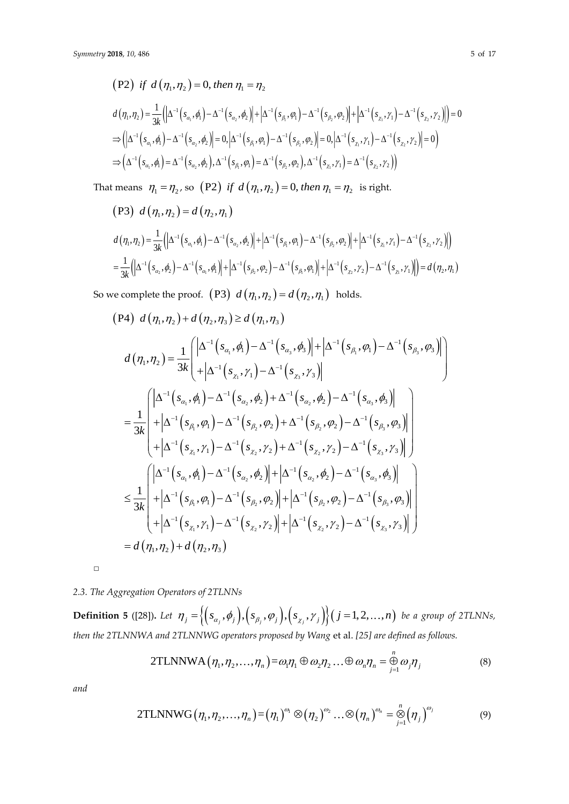$$
\begin{aligned}\n\text{(P2)} \quad & \text{if } d\left(\eta_{1}, \eta_{2}\right) = 0, \text{ then } \eta_{1} = \eta_{2} \\
& d\left(\eta_{1}, \eta_{2}\right) = \frac{1}{3k} \left( \left| \Delta^{-1}\left(s_{\alpha_{1}}, \phi_{1}\right) - \Delta^{-1}\left(s_{\alpha_{2}}, \phi_{2}\right) \right| + \left| \Delta^{-1}\left(s_{\beta_{1}}, \phi_{1}\right) - \Delta^{-1}\left(s_{\beta_{2}}, \phi_{2}\right) \right| + \left| \Delta^{-1}\left(s_{\chi_{1}}, \gamma_{1}\right) - \Delta^{-1}\left(s_{\chi_{2}}, \gamma_{2}\right) \right| \right) = 0 \\
& \Rightarrow \left( \left| \Delta^{-1}\left(s_{\alpha_{1}}, \phi_{1}\right) - \Delta^{-1}\left(s_{\alpha_{2}}, \phi_{2}\right) \right| = 0, \left| \Delta^{-1}\left(s_{\beta_{1}}, \phi_{1}\right) - \Delta^{-1}\left(s_{\beta_{2}}, \phi_{2}\right) \right| = 0, \left| \Delta^{-1}\left(s_{\chi_{1}}, \gamma_{1}\right) - \Delta^{-1}\left(s_{\chi_{2}}, \gamma_{2}\right) \right| = 0 \right) \\
& \Rightarrow \left( \Delta^{-1}\left(s_{\alpha_{1}}, \phi_{1}\right) = \Delta^{-1}\left(s_{\alpha_{2}}, \phi_{2}\right), \Delta^{-1}\left(s_{\beta_{1}}, \phi_{1}\right) = \Delta^{-1}\left(s_{\beta_{2}}, \phi_{2}\right), \Delta^{-1}\left(s_{\chi_{1}}, \gamma_{1}\right) = \Delta^{-1}\left(s_{\chi_{2}}, \gamma_{2}\right) \right)\n\end{aligned}
$$

That means  $\eta_1 = \eta_2$ , so (P2) if  $d(\eta_1, \eta_2) = 0$ , then  $\eta_1 = \eta_2$  is right.

$$
\begin{aligned}\n\left(\text{P3}\right) \ d\left(\eta_{1}, \eta_{2}\right) &= d\left(\eta_{2}, \eta_{1}\right) \\
d\left(\eta_{1}, \eta_{2}\right) &= \frac{1}{3k} \Big( \Big| \Delta^{-1} \big( s_{\alpha_{1}}, \phi_{1} \big) - \Delta^{-1} \big( s_{\alpha_{2}}, \phi_{2} \big) \Big| + \Big| \Delta^{-1} \big( s_{\beta_{1}}, \phi_{1} \big) - \Delta^{-1} \big( s_{\beta_{2}}, \phi_{2} \big) \Big| + \Big| \Delta^{-1} \big( s_{\chi}, \gamma_{1} \big) - \Delta^{-1} \big( s_{\chi_{2}}, \gamma_{2} \big) \Big| \Big) \\
&= \frac{1}{3k} \Big( \Big| \Delta^{-1} \big( s_{\alpha_{2}}, \phi_{2} \big) - \Delta^{-1} \big( s_{\alpha_{1}}, \phi_{1} \big) \Big| + \Big| \Delta^{-1} \big( s_{\beta_{2}}, \phi_{2} \big) - \Delta^{-1} \big( s_{\beta_{1}}, \phi_{1} \big) \Big| + \Big| \Delta^{-1} \big( s_{\chi_{2}}, \gamma_{2} \big) - \Delta^{-1} \big( s_{\chi}, \gamma_{1} \big) \Big| \Big) \\
&= d\left(\eta_{2}, \eta_{1}\right)\n\end{aligned}
$$

So we complete the proof.  $(P3)$   $d(\eta_1, \eta_2) = d(\eta_2, \eta_1)$  holds.

$$
(P4) d(\eta_{1}, \eta_{2}) + d(\eta_{2}, \eta_{3}) \ge d(\eta_{1}, \eta_{3})
$$
\n
$$
d(\eta_{1}, \eta_{2}) = \frac{1}{3k} \left( \frac{|\Delta^{-1}(s_{\alpha_{1}}, \phi_{1}) - \Delta^{-1}(s_{\alpha_{3}}, \phi_{3})| + |\Delta^{-1}(s_{\beta_{1}}, \phi_{1}) - \Delta^{-1}(s_{\beta_{3}}, \phi_{3})|}{|\Delta^{-1}(s_{\alpha_{1}}, \phi_{1}) - \Delta^{-1}(s_{\alpha_{2}}, \phi_{2})|} \right)
$$
\n
$$
= \frac{1}{3k} \left( \frac{|\Delta^{-1}(s_{\alpha_{1}}, \phi_{1}) - \Delta^{-1}(s_{\alpha_{2}}, \phi_{2}) + \Delta^{-1}(s_{\alpha_{2}}, \phi_{2}) - \Delta^{-1}(s_{\alpha_{3}}, \phi_{3})|}{|\Delta^{-1}(s_{\beta_{1}}, \phi_{1}) - \Delta^{-1}(s_{\beta_{2}}, \phi_{2}) + \Delta^{-1}(s_{\beta_{2}}, \phi_{2}) - \Delta^{-1}(s_{\beta_{3}}, \phi_{3})|} \right) + |\Delta^{-1}(s_{\beta_{1}}, \phi_{1}) - \Delta^{-1}(s_{\beta_{2}}, \phi_{2}) + \Delta^{-1}(s_{\gamma_{2}}, \gamma_{2}) - \Delta^{-1}(s_{\gamma_{3}}, \gamma_{3})|
$$
\n
$$
= \frac{1}{3k} \left( \frac{|\Delta^{-1}(s_{\alpha_{1}}, \phi_{1}) - \Delta^{-1}(s_{\alpha_{2}}, \phi_{2})| + |\Delta^{-1}(s_{\alpha_{2}}, \phi_{2}) - \Delta^{-1}(s_{\alpha_{3}}, \phi_{3})|}{|\Delta^{-1}(s_{\alpha_{1}}, \phi_{1}) - \Delta^{-1}(s_{\alpha_{2}}, \phi_{2})|} + |\Delta^{-1}(s_{\beta_{2}}, \phi_{2}) - \Delta^{-1}(s_{\beta_{3}}, \phi_{3})| \right) + |\Delta^{-1}(s_{\beta_{1}}, \phi_{1}) - \Delta^{-1}(s_{\beta_{2}}, \phi_{2})| + |\Delta^{-1}(s_{\beta_{2}}, \phi_{2}) - \Delta^{-1}(s_{\beta_{3}}, \phi_{3})|
$$
\n
$$
= d(\eta_{1}, \eta_{2}) + d(\eta_{2}, \eta_{3})
$$

 $\Box$ 

# *2.3. The Aggregation Operators of 2TLNNs*

**Definition 5** ([28]). Let  $\eta_j = \Big\{ \Big(s_{\alpha_j}, \phi_j\Big), \Big(s_{\beta_j}, \phi_j\Big), \Big(s_{\chi_j}, \gamma_j\Big) \Big\}$   $\big(j = 1, 2, ..., n\big)$  be a group of 2TLNNs, *then the 2TLNNWA and 2TLNNWG operators proposed by Wang et al.* [25] *are defined as follows.*<br>
2TLNNWA  $(\eta_1, \eta_2, ..., \eta_n) = \omega_1 \eta_1 \oplus \omega_2 \eta_2 ... \oplus \omega_n \eta_n = \bigoplus_{j=1}^n \omega_j \eta_j$ 

2TLNNWA
$$
(\eta_1, \eta_2, ..., \eta_n)
$$
= $\omega_1 \eta_1 \oplus \omega_2 \eta_2 ... \oplus \omega_n \eta_n = \bigoplus_{j=1}^n \omega_j \eta_j$  (8)

*n*

*and*

2TLNNWG
$$
(\eta_1, \eta_2, ..., \eta_n) = (\eta_1)^{\omega_1} \otimes (\eta_2)^{\omega_2} ... \otimes (\eta_n)^{\omega_n} = \bigotimes_{j=1}^n (\eta_j)^{\omega_j}
$$
 (9)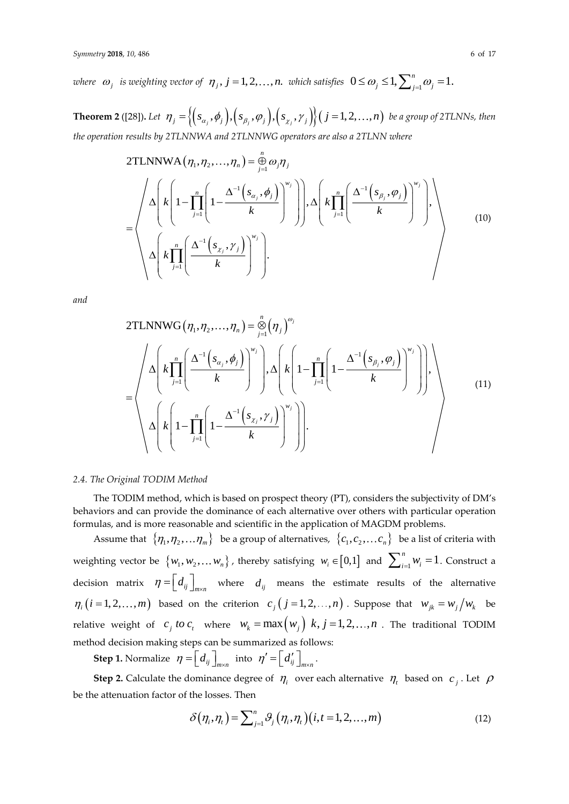where  $\omega_j$  is weighting vector of  $\eta_j$ ,  $j = 1,2,\ldots,n$ . which satisfies  $0 \le \omega_j \le 1, \sum_{j=1}^n \omega_j = 1.$ 

**Theorem 2** ([28]). Let  $\eta_j = \Big\{ \Big(s_{\alpha_j}, \phi_j\Big), \Big(s_{\beta_j}, \phi_j\Big), \Big(s_{\chi_j}, \gamma_j\Big)\Big\}$   $\big(j=1,2,\ldots,n\big)$  be a group of 2TLNNs, then *the operation results by 2TLNNWA and 2TLNNWG operators are also a 2TLNN where*

2TLNNWA
$$
(\eta_1, \eta_2, ..., \eta_n)
$$
 =  $\bigoplus_{j=1}^n \omega_j \eta_j$   
\n=
$$
\left\{\Delta \left(k \left(1 - \prod_{j=1}^n \left(1 - \frac{\Delta^{-1} \left(s_{\alpha_j}, \phi_j\right)}{k}\right)^{w_j}\right)\right), \Delta \left(k \prod_{j=1}^n \left(\frac{\Delta^{-1} \left(s_{\beta_j}, \phi_j\right)}{k}\right)^{w_j}\right)\right\}
$$
\n
$$
\Delta \left(k \prod_{j=1}^n \left(\frac{\Delta^{-1} \left(s_{\chi_j}, \gamma_j\right)}{k}\right)^{w_j}\right).
$$
\n(10)

*and*

2TLNNWG
$$
(\eta_1, \eta_2, ..., \eta_n)
$$
 =  $\bigotimes_{j=1}^n (\eta_j)^{\omega_j}$   
\n
$$
= \left\{ \Delta \left( k \prod_{j=1}^n \left( \frac{\Delta^{-1} \left( s_{\alpha_j}, \phi_j \right)}{k} \right)^{w_j} \right), \Delta \left( k \left( 1 - \prod_{j=1}^n \left( 1 - \frac{\Delta^{-1} \left( s_{\beta_j}, \phi_j \right)}{k} \right)^{w_j} \right) \right), \Delta \left( k \left( 1 - \prod_{j=1}^n \left( 1 - \frac{\Delta^{-1} \left( s_{\beta_j}, \gamma_j \right)}{k} \right)^{w_j} \right) \right), \Delta \left( k \left( 1 - \prod_{j=1}^n \left( 1 - \frac{\Delta^{-1} \left( s_{\gamma_j}, \gamma_j \right)}{k} \right)^{w_j} \right) \right) \right\}
$$
\n(11)

#### *2.4. The Original TODIM Method*

The TODIM method, which is based on prospect theory (PT), considers the subjectivity of DM's behaviors and can provide the dominance of each alternative over others with particular operation formulas, and is more reasonable and scientific in the application of MAGDM problems.

Assume that  $\{\eta_1, \eta_2, \ldots \eta_m\}$  be a group of alternatives,  $\{c_1, c_2, \ldots c_n\}$  be a list of criteria with weighting vector be  $\{w_1, w_2, \ldots w_n\}$ , thereby satisfying  $w_i \in [0,1]$  and  $\sum_{i=1}^n w_i = 1$  $\sum_{i=1}^{n} w_i = 1$ . Construct a decision matrix  $\eta = \left[ d_{ij} \right]_{m \times n}$  where  $d_{ij}$  means the estimate results of the alternative  $\eta_i$   $(i = 1, 2, ..., m)$  based on the criterion  $c_j$   $(j = 1, 2, ..., n)$ . Suppose that  $w_{jk} = w_j/w_k$  be relative weight of  $c_j$  *to*  $c_t$  where  $w_k = \max(w_j)$   $k, j = 1, 2, ..., n$  . The traditional TODIM method decision making steps can be summarized as follows:

**Step 1.** Normalize  $\eta = \left[ d_{ij} \right]_{m \times n}$  $=\left[\begin{array}{c}d_{ij}\end{array}\right]_{m\times n}$  into  $\eta'=\left[\begin{array}{c}d'_{ij}\end{array}\right]_{m\times n}$  $\boldsymbol{C} = \left[\!\!\begin{array}{c} d'_{ij} \end{array}\!\!\right]_{m \times n}.$ 

**Step 2.** Calculate the dominance degree of  $\eta_i$  over each alternative  $\eta_i$  based on  $c_j$ . Let  $\rho$ be the attenuation factor of the losses. Then

$$
\delta(\eta_i, \eta_t) = \sum_{j=1}^n \mathcal{G}_j(\eta_i, \eta_t)(i, t = 1, 2, \dots, m)
$$
\n(12)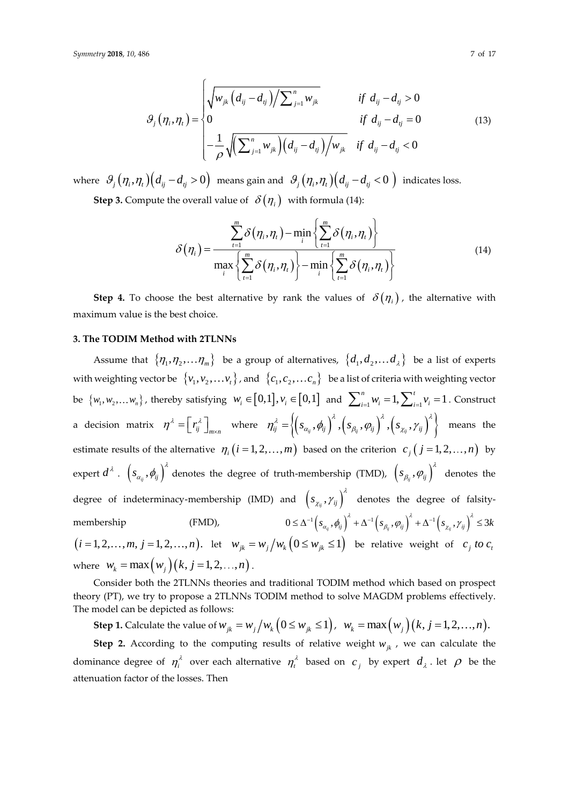$$
\mathcal{B}_{j}(\eta_{i}, \eta_{t}) = \begin{cases} \sqrt{w_{jk} (d_{ij} - d_{ij}) / \sum_{j=1}^{n} w_{jk}} & \text{if } d_{ij} - d_{ij} > 0\\ 0 & \text{if } d_{ij} - d_{ij} = 0\\ -\frac{1}{\rho} \sqrt{(\sum_{j=1}^{n} w_{jk}) (d_{ij} - d_{ij}) / w_{jk}} & \text{if } d_{ij} - d_{ij} < 0 \end{cases}
$$
(13)

where  $\,\,\vartheta_j\big(\eta_i,\eta_t\big)\big(d_{ij}\!-\!d_{ij}\!>\!0\big)\,$  means gain and  $\,\,\vartheta_j\big(\eta_i,\eta_t\big)\big(d_{ij}\!-\!d_{ij}\!<\!0\,\big)\,$  indicates loss. **Step 3.** Compute the overall value of  $\delta(\eta_i)$  with formula (14):

$$
\delta(\eta_i) = \frac{\sum_{t=1}^{m} \delta(\eta_i, \eta_t) - \min_i \left\{ \sum_{t=1}^{m} \delta(\eta_i, \eta_t) \right\}}{\max_i \left\{ \sum_{t=1}^{m} \delta(\eta_i, \eta_t) \right\} - \min_i \left\{ \sum_{t=1}^{m} \delta(\eta_i, \eta_t) \right\}}
$$
(14)

**Step 4.** To choose the best alternative by rank the values of  $\delta(\eta_i)$ , the alternative with maximum value is the best choice.

## **3. The TODIM Method with 2TLNNs**

Assume that  $\{\eta_1,\eta_2,...\eta_m\}$  be a group of alternatives,  $\{d_1,d_2,...d_\lambda\}$  be a list of experts with weighting vector be  $\{v_1, v_2, \ldots v_t\}$  , and  $\{c_1, c_2, \ldots c_n\}$  be a list of criteria with weighting vector be  $\{w_1, w_2,... w_n\}$ , thereby satisfying  $w_i \in [0,1]$ ,  $v_i \in [0,1]$  and  $\sum_{i=1}^n w_i = 1$ ,  $\sum_{i=1}^t v_i = 1$ . Construct a decision matrix  $\eta^{\lambda} = \left[ r_{ij}^{\lambda} \right]_{m \times n}$  $= \left[ r_i^{\lambda} \right]_{m \times n}$  where  $\eta_{ij}^{\lambda} = \left\langle \left( s_{\alpha_{ij}}, \phi_{ij} \right)^{\lambda}, \left( s_{\beta_{ij}}, \phi_{ij} \right)^{\lambda}, \left( s_{\chi_{ij}}, \gamma_{ij} \right)^{\lambda} \right\rangle$  means the estimate results of the alternative  $\eta_i(i=1,2,\ldots,m)$  based on the criterion  $c_j(j=1,2,\ldots,n)$  by expert  $d^\lambda$  .  $\left(s_{a_{ij}},\phi_{ij}\right)^\lambda$  denotes the degree of truth-membership (TMD),  $\left(s_{\beta_{ij}},\phi_{ij}\right)^\lambda$  $(\varphi_{ij},\varphi_{ij})$  denotes the degree of indeterminacy-membership (IMD) and  $\left(s_{\chi_{ij}}, \gamma_{ij}\right)^{\lambda}$  $\mathcal{C}_{\chi_{ii}},\mathcal{V}_{ij}$  denotes the degree of falsitymembership (FMD), nd  $\left( s_{\chi_{ij}}, \gamma_{ij} \right)$  denotes the degree of falsity-<br>  $0 \leq \Delta^{-1} \left( s_{\alpha_{ij}}, \phi_{ij} \right)^{\lambda} + \Delta^{-1} \left( s_{\beta_{ij}}, \phi_{ij} \right)^{\lambda} + \Delta^{-1} \left( s_{\chi_{ij}}, \gamma_{ij} \right)^{\lambda} \leq 3k$  $(i=1,2,\ldots,m, j=1,2,\ldots,n)$ . let  $w_{jk} = w_j/w_k \left(0 \le w_{jk} \le 1\right)$  be relative weight of  $c_j$  to  $c_j$ where  $w_k = \max(w_j)(k, j = 1, 2, ..., n)$ .

Consider both the 2TLNNs theories and traditional TODIM method which based on prospect theory (PT), we try to propose a 2TLNNs TODIM method to solve MAGDM problems effectively. The model can be depicted as follows:

**Step 1.** Calculate the value of  $w_{jk} = w_j/w_k \left(0 \le w_{jk} \le 1\right)$ ,  $w_k = \max(w_j)(k, j = 1, 2, ..., n)$ .

**Step 2.** According to the computing results of relative weight  $w_{jk}$ , we can calculate the dominance degree of  $\eta_i^{\lambda}$  over each alternative  $\eta_i^{\lambda}$  based on  $c_j$  by expert  $d_{\lambda}$ . let  $\rho$  be the attenuation factor of the losses. Then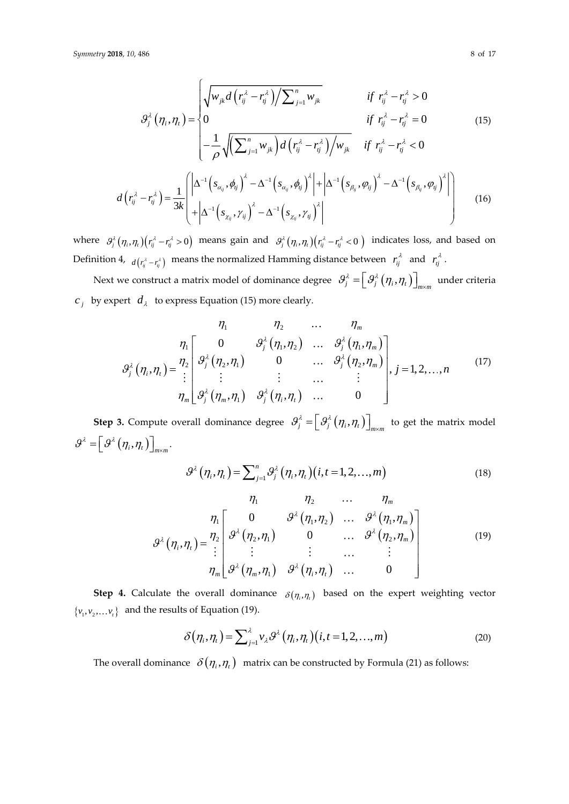$$
\mathcal{G}_{j}^{\lambda}(\eta_{i}, \eta_{i}) = \begin{cases}\n\sqrt{w_{jk}d(r_{ij}^{\lambda} - r_{ij}^{\lambda})} / \sum_{j=1}^{n} w_{jk} & \text{if } r_{ij}^{\lambda} - r_{ij}^{\lambda} > 0 \\
0 & \text{if } r_{ij}^{\lambda} - r_{ij}^{\lambda} = 0 \\
-\frac{1}{\rho} \sqrt{(\sum_{j=1}^{n} w_{jk})d(r_{ij}^{\lambda} - r_{ij}^{\lambda})} / w_{jk} & \text{if } r_{ij}^{\lambda} - r_{ij}^{\lambda} < 0\n\end{cases}
$$
\n
$$
d(r_{ij}^{\lambda} - r_{ij}^{\lambda}) = \frac{1}{3k} \begin{pmatrix} \left| \Delta^{-1} \left( s_{\alpha_{ij}}, \phi_{ij} \right)^{\lambda} - \Delta^{-1} \left( s_{\alpha_{ij}}, \phi_{ij} \right)^{\lambda} \right| + \left| \Delta^{-1} \left( s_{\beta_{ij}}, \phi_{ij} \right)^{\lambda} - \Delta^{-1} \left( s_{\beta_{ij}}, \phi_{ij} \right)^{\lambda} \right| \\
+ \left| \Delta^{-1} \left( s_{\chi_{ij}}, \gamma_{ij} \right)^{\lambda} - \Delta^{-1} \left( s_{\chi_{ij}}, \gamma_{ij} \right)^{\lambda} \right| \end{cases}
$$
\n
$$
(16)
$$

where  $\theta_j^{\lambda}(\eta_i,\eta_i)(r_{ij}^{\lambda}-r_{ij}^{\lambda}>0)$  means gain and  $\theta_j^{\lambda}(\eta_i,\eta_i)(r_{ij}^{\lambda}-r_{ij}^{\lambda}<0)$  indicates loss, and based on Definition 4,  $d(r_{ij}^{\lambda} - r_{ij}^{\lambda})$  means the normalized Hamming distance between  $r_{ij}^{\lambda}$  and  $r_{ij}^{\lambda}$ .

Next we construct a matrix model of dominance degree  $\theta_j^{\lambda} = \left[ \theta_j^{\lambda} \left( \eta_i, \eta_t \right) \right]_{m \times m}$  $\left. = \left[ \, \vartheta_i^{\lambda} \left( \eta_i, \eta_t \right) \right]_{\!\! \rm \scriptscriptstyle m \times m} \right.$  under criteria  $c_j$  by expert  $d_{\lambda}$  to express Equation (15) more clearly.

$$
\eta_{1} \qquad \eta_{2} \qquad \dots \qquad \eta_{m}
$$
\n
$$
\eta_{1} \qquad \eta_{2} \qquad \dots \qquad \eta_{m}
$$
\n
$$
\mathcal{G}_{j}^{\lambda}(\eta_{1}, \eta_{1}) = \frac{\eta_{2}}{2} \begin{bmatrix} 0 & \mathcal{G}_{j}^{\lambda}(\eta_{1}, \eta_{2}) & \dots & \mathcal{G}_{j}^{\lambda}(\eta_{1}, \eta_{m}) \\ \mathcal{G}_{j}^{\lambda}(\eta_{2}, \eta_{1}) & 0 & \dots & \mathcal{G}_{j}^{\lambda}(\eta_{2}, \eta_{m}) \\ \vdots & \vdots & \dots & \vdots \\ \mathcal{G}_{m}^{\lambda}(\eta_{m}, \eta_{1}) & \mathcal{G}_{j}^{\lambda}(\eta_{1}, \eta_{1}) & \dots & 0 \end{bmatrix}, j = 1, 2, \dots, n
$$
\n(17)

**Step 3.** Compute overall dominance degree  $\mathcal{S}^{\lambda}_{j} = \left[ \mathcal{S}^{\lambda}_{j} \left( \eta_{i}, \eta_{i} \right) \right]_{m \times m}$  $=\bigr[\mathcal{G}_j^\lambda\bigl(\eta_i,\eta_i\bigr)\bigr]_{\hspace{-0.5pt}m\hspace{-0.5pt}\times\hspace{-0.5pt}m}$  to get the matrix model  $\mathcal{G}^{\lambda}=\left[\,\mathcal{G}^{\lambda}\left(\eta_{\iota}, \eta_{\iota}\right)\right]_{m\times m}.$ 

$$
\mathcal{G}^{\lambda}(\eta_i, \eta_t) = \sum_{j=1}^{n} \mathcal{G}^{\lambda}_j(\eta_i, \eta_t) (i, t = 1, 2, \dots, m)
$$
 (18)

$$
\eta_1 \qquad \eta_2 \qquad \dots \qquad \eta_m
$$
\n
$$
\eta_1 \qquad \eta_2 \qquad \dots \qquad \eta_m
$$
\n
$$
\eta_n \left[ \begin{array}{cccc} 0 & \mathcal{G}^{\lambda}(\eta_1, \eta_2) & \dots & \mathcal{G}^{\lambda}(\eta_1, \eta_m) \\ \mathcal{G}^{\lambda}(\eta_1, \eta_1) & 0 & \dots & \mathcal{G}^{\lambda}(\eta_2, \eta_m) \\ \vdots & \vdots & \dots & \vdots \\ \eta_m \left[ \mathcal{G}^{\lambda}(\eta_m, \eta_1) & \mathcal{G}^{\lambda}(\eta_i, \eta_i) & \dots & 0 \end{array} \right] \qquad (19)
$$

**Step 4.** Calculate the overall dominance  $\delta(\eta_i, \eta_i)$  based on the expert weighting vector  $\{v_1, v_2, \dots v_t\}$  and the results of Equation (19).

$$
\delta(\eta_i, \eta_t) = \sum_{j=1}^{\lambda} \nu_{\lambda} \mathcal{G}^{\lambda}(\eta_i, \eta_t) (i, t = 1, 2, \dots, m)
$$
 (20)

The overall dominance  $\,\,\delta\big(\eta_{_i},\eta_{_t}\big)\,\,$  matrix can be constructed by Formula (21) as follows: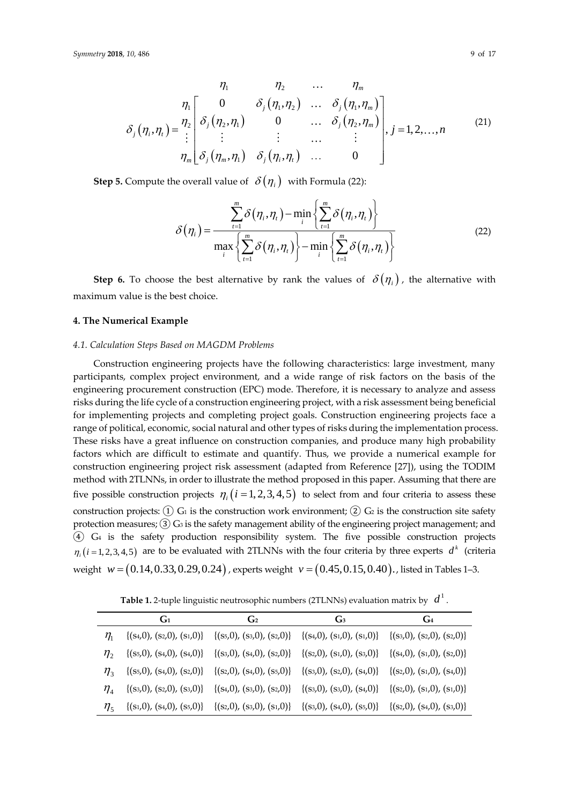$$
\eta_1 \qquad \eta_2 \qquad \ldots \qquad \eta_m
$$
\n
$$
\eta_1 \qquad \eta_2 \qquad \ldots \qquad \eta_m
$$
\n
$$
\delta_j(\eta_i, \eta_i) = \frac{\eta_2}{i} \begin{bmatrix} 0 & \delta_j(\eta_1, \eta_2) & \ldots & \delta_j(\eta_1, \eta_m) \\ \delta_j(\eta_2, \eta_1) & 0 & \ldots & \delta_j(\eta_2, \eta_m) \\ \vdots & \vdots & \ldots & \vdots \\ \delta_j(\eta_m, \eta_1) & \delta_j(\eta_i, \eta_i) & \ldots & 0 \end{bmatrix}, j = 1, 2, \ldots, n \qquad (21)
$$

**Step 5.** Compute the overall value of  $\delta(\eta_i)$  with Formula (22):

$$
\delta(\eta_i) = \frac{\sum_{t=1}^{m} \delta(\eta_i, \eta_t) - \min_i \left\{ \sum_{t=1}^{m} \delta(\eta_i, \eta_t) \right\}}{\max_i \left\{ \sum_{t=1}^{m} \delta(\eta_i, \eta_t) \right\} - \min_i \left\{ \sum_{t=1}^{m} \delta(\eta_i, \eta_t) \right\}}
$$
(22)

**Step 6.** To choose the best alternative by rank the values of  $\delta(\eta_i)$ , the alternative with maximum value is the best choice.

#### **4. The Numerical Example**

#### *4.1. Calculation Steps Based on MAGDM Problems*

Construction engineering projects have the following characteristics: large investment, many participants, complex project environment, and a wide range of risk factors on the basis of the engineering procurement construction (EPC) mode. Therefore, it is necessary to analyze and assess risks during the life cycle of a construction engineering project, with a risk assessment being beneficial for implementing projects and completing project goals. Construction engineering projects face a range of political, economic, social natural and other types of risks during the implementation process. These risks have a great influence on construction companies, and produce many high probability factors which are difficult to estimate and quantify. Thus, we provide a numerical example for construction engineering project risk assessment (adapted from Reference [27]), using the TODIM method with 2TLNNs, in order to illustrate the method proposed in this paper. Assuming that there are five possible construction projects  $\eta_i(i=1,2,3,4,5)$  to select from and four criteria to assess these construction projects:  $(1)$  G<sub>1</sub> is the construction work environment;  $(2)$  G<sub>2</sub> is the construction site safety protection measures; (3) G<sub>3</sub> is the safety management ability of the engineering project management; and ④ G<sup>4</sup> is the safety production responsibility system. The five possible construction projects  $\eta_i$  (*i* = 1, 2, 3, 4, 5) are to be evaluated with 2TLNNs with the four criteria by three experts  $d^k$  (criteria weight  $w\!=\!\big(0.14,0.33,0.29,0.24\big)$  , experts weight  $v\!=\!\big(0.45,0.15,0.40\big)$ . , listed in Tables 1–3.

**Table 1.** 2-tuple linguistic neutrosophic numbers (2TLNNs) evaluation matrix by  $d^{1}$  .

|                               | G <sub>1</sub>                   | G <sub>2</sub>                   | G <sub>3</sub>                   | $G_4$                            |
|-------------------------------|----------------------------------|----------------------------------|----------------------------------|----------------------------------|
| $\eta_{\scriptscriptstyle 1}$ | $\{(s_4,0), (s_2,0), (s_1,0)\}\$ | $\{(s_5,0), (s_3,0), (s_2,0)\}\$ | $\{(s_4,0), (s_1,0), (s_1,0)\}\$ | $\{(s_3,0), (s_2,0), (s_2,0)\}\$ |
| $\eta$ ,                      | $\{(s_5,0), (s_4,0), (s_4,0)\}\$ | $\{(s_3,0), (s_4,0), (s_2,0)\}\$ | $\{(s_2,0), (s_1,0), (s_3,0)\}\$ | $\{(s_4,0), (s_1,0), (s_2,0)\}\$ |
| $\eta_{\scriptscriptstyle 2}$ | $\{(s_5,0), (s_4,0), (s_2,0)\}\$ | $\{(s_2,0), (s_4,0), (s_5,0)\}\$ | $\{(s_3,0), (s_2,0), (s_4,0)\}\$ | $\{(s_2,0), (s_1,0), (s_4,0)\}\$ |
| $\eta_{\scriptscriptstyle A}$ | $\{(s_3,0), (s_2,0), (s_3,0)\}\$ | $\{(s_4,0), (s_3,0), (s_2,0)\}\$ | $\{(s_3,0), (s_3,0), (s_4,0)\}\$ | $\{(s_2,0), (s_1,0), (s_1,0)\}\$ |
| $\eta_{\zeta}$                | $\{(s_1,0), (s_4,0), (s_5,0)\}\$ | $\{(s_2,0), (s_3,0), (s_1,0)\}\$ | $\{(s_3,0), (s_4,0), (s_5,0)\}\$ | $\{(s_2,0), (s_4,0), (s_3,0)\}\$ |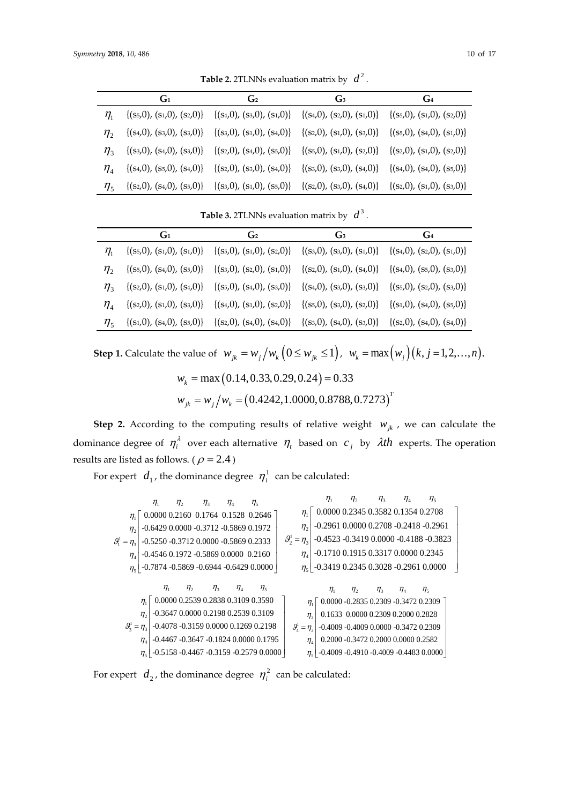|                               | G <sub>1</sub>                   | G <sub>2</sub>                   | G <sub>3</sub>                   | $G_4$                            |
|-------------------------------|----------------------------------|----------------------------------|----------------------------------|----------------------------------|
| $\eta_{\scriptscriptstyle 1}$ | $\{(s_5,0), (s_1,0), (s_2,0)\}\$ | $\{(s_4,0), (s_3,0), (s_1,0)\}\$ | $\{(s_4,0), (s_2,0), (s_1,0)\}\$ | $\{(s_5,0), (s_1,0), (s_2,0)\}\$ |
| $\eta_{\gamma}$               | $\{(s_4,0), (s_3,0), (s_3,0)\}\$ | $\{(s_3,0), (s_1,0), (s_4,0)\}\$ | $\{(s_2,0), (s_1,0), (s_3,0)\}\$ | $\{(s_5,0), (s_4,0), (s_1,0)\}\$ |
| $\eta_{\scriptscriptstyle 2}$ | $\{(s_3,0), (s_4,0), (s_3,0)\}\$ | $\{(s_2,0), (s_4,0), (s_5,0)\}\$ | $\{(s_5,0), (s_1,0), (s_2,0)\}\$ | $\{(s_2,0), (s_1,0), (s_2,0)\}\$ |
| $\eta_{\scriptscriptstyle A}$ | $\{(s_4,0), (s_5,0), (s_4,0)\}\$ | $\{(s_2,0), (s_3,0), (s_4,0)\}\$ | $\{(s_3,0), (s_3,0), (s_4,0)\}\$ | $\{(s_4,0), (s_4,0), (s_5,0)\}\$ |
| $\eta_{\zeta}$                | $\{(s_2,0), (s_4,0), (s_5,0)\}\$ | $\{(s_3,0), (s_1,0), (s_5,0)\}\$ | $\{(s_2,0), (s_3,0), (s_4,0)\}\$ | $\{(s_2,0), (s_1,0), (s_3,0)\}\$ |

**Table 3.** 2TLNNs evaluation matrix by  $d^3$ .

|                               | $G_1$                            | G <sub>2</sub>                   | $G_3$                                                          | $G_4$                            |
|-------------------------------|----------------------------------|----------------------------------|----------------------------------------------------------------|----------------------------------|
| $\eta_{\scriptscriptstyle 1}$ | $\{(s_5,0), (s_1,0), (s_1,0)\}\$ | $\{(s_5,0), (s_1,0), (s_2,0)\}\$ | $\{(s_3,0), (s_3,0), (s_1,0)\}\$                               | $\{(s_4,0), (s_2,0), (s_1,0)\}\$ |
| $\eta_{\gamma}$               | $\{(s_5,0), (s_4,0), (s_5,0)\}\$ | $\{(s_3,0), (s_2,0), (s_1,0)\}\$ | $\{(s_2,0), (s_1,0), (s_4,0)\}\$                               | $\{(s_4,0), (s_5,0), (s_3,0)\}\$ |
| $n_{\scriptscriptstyle 2}$    | $\{(s_2,0), (s_1,0), (s_4,0)\}\$ | $\{(s_5,0), (s_4,0), (s_3,0)\}\$ | $\{(s_4,0), (s_3,0), (s_3,0)\}\{ (s_5,0), (s_2,0), (s_3,0)\}\$ |                                  |
| $n_{\scriptscriptstyle A}$    | $\{(s_2,0), (s_1,0), (s_3,0)\}\$ | $\{(s_4,0), (s_1,0), (s_2,0)\}\$ | $\{(s_5,0), (s_3,0), (s_2,0)\}\$                               | $\{(s_1,0), (s_4,0), (s_5,0)\}\$ |
| $\eta_{\varsigma}$            | $\{(s_1,0), (s_4,0), (s_5,0)\}\$ | $\{(s_2,0), (s_4,0), (s_4,0)\}\$ | $\{(s_3,0), (s_4,0), (s_3,0)\}\{ (s_2,0), (s_4,0), (s_4,0)\}\$ |                                  |

**Step 1.** Calculate the value of  $w_{jk} = w_j/w_k$   $(0 \le w_{jk} \le 1)$ ,  $w_k = \max(w_j)(k, j = 1, 2, ..., n)$ .

$$
w_k = \max (0.14, 0.33, 0.29, 0.24) = 0.33
$$
  

$$
w_{jk} = w_j / w_k = (0.4242, 1.0000, 0.8788, 0.7273)^T
$$

**Step 2.** According to the computing results of relative weight  $w_{jk}$ , we can calculate the dominance degree of  $\eta_i^{\lambda}$  over each alternative  $\eta_i$  based on  $c_j$  by  $\lambda$ th experts. The operation results are listed as follows. (  $\rho$  = 2.4 )

For expert  $\,d_{_1}$ , the dominance degree  $\,\eta^1_i\,$  can be calculated:

| $\eta_1$          | $\eta_2$ | $\eta_3$ | $\eta_4$ | $\eta_5$ | $\eta_1$ | $\eta_2$ | $\eta_3$ | $\eta_4$ | $\eta_5$ |
|-------------------|----------|----------|----------|----------|----------|----------|----------|----------|----------|
| $\eta_1$          | 0.0000   | 0.2160   | 0.1764   | 0.1528   | 0.2646   |          |          |          |          |
| $\eta_2$          | -0.6429  | 0.0000   | -0.3712  | -0.5869  | 0.1972   |          |          |          |          |
| $\mathcal{B}_1^1$ | -0.4546  | 0.1972   | -0.5869  | 0.2333   |          |          |          |          |          |
| $\eta_4$          | -0.4546  | 0.1972   | -0.5869  | 0.0000   | 0.2160   |          |          |          |          |
| $\eta_5$          | -0.7874  | -0.5869  | -0.6944  | -0.6429  | 0.0000   |          |          |          |          |
| $\eta_1$          | $\eta_2$ | $\eta_3$ | $\eta_4$ | $\eta_5$ | -0.3419  | 0.2345   | 0.3028   | -0.2961  | 0.0000   |
| $\eta_1$          | $\eta_2$ | $\eta_3$ | $\eta_4$ | $\eta_5$ | -0.3419  | 0.2345   | 0.3      |          |          |

For expert  $d_2$ , the dominance degree  $\eta_i^2$  can be calculated: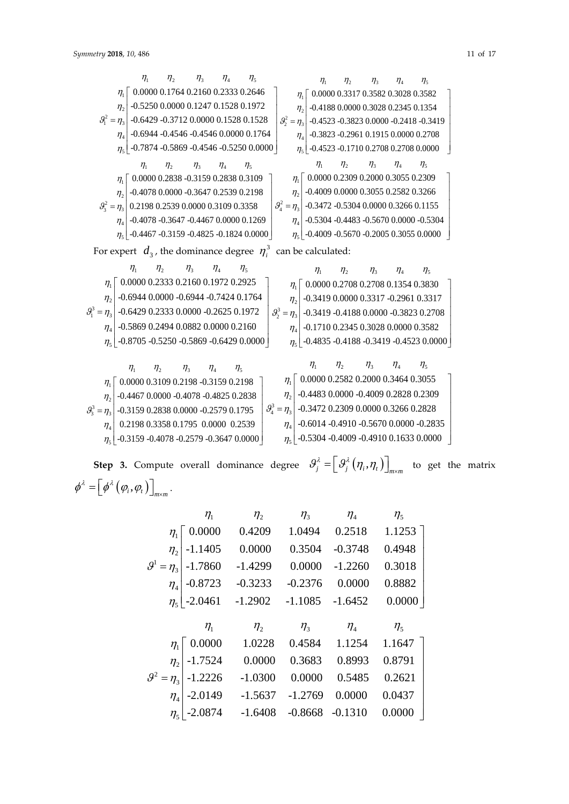$$
n_1 = n_3
$$
\n
$$
n_2 = 0.6400
$$
\n
$$
n_3 = 0.7874 - 0.8869 - 0.4546 - 0.5250 0.0000
$$
\n
$$
n_1 = 0.4009
$$
\n
$$
n_2 = 0.4009
$$
\n
$$
n_3 = 0.4467
$$
\n
$$
n_4 = 0.4078
$$
\n
$$
n_5 = 0.4467
$$
\n
$$
n_6 = 0.4460
$$
\n
$$
n_7 = 0.4467
$$
\n
$$
n_8 = 0.4460
$$
\n
$$
n_9 = 0.4460
$$
\n
$$
n_1 = 0.4467
$$
\n
$$
n_1 = 0.4467
$$
\n
$$
n_2 = 0.4460
$$
\n
$$
n_3 = 0.4460
$$
\n
$$
n_4 = 0.4460
$$
\n
$$
n_5 = 0.4460
$$
\n
$$
n_6 = 0.4460
$$
\n
$$
n_7 = 0.4460
$$
\n
$$
n_8 = 0.4460
$$
\n
$$
n_9 = 0.4460
$$
\n
$$
n_1 = 0.4460
$$
\n
$$
n_1 = 0.4460
$$
\n
$$
n_2 = 0.4460
$$
\n
$$
n_3 = 0.4460
$$
\n
$$
n_4 = 0.4460
$$
\n
$$
n_5 = 0.4460
$$
\n
$$
n_6 = 0.4460
$$
\n
$$
n_7 = 0.4460
$$
\n
$$
n_8 = 0.4460
$$
\n
$$
n_9 = 0.4460
$$
\n
$$
n_1 = 0.4460
$$
\n
$$
n_1 = 0.4460
$$
\n
$$
n_2 = 0.4460
$$
\n<

| $\eta_1$                   | $\eta_2$                               | $\eta_3$                   | $\eta_4$                               | $\eta_5$                           | $\eta_1$ | $\eta_2$ | $\eta_3$ | $\eta_4$ | $\eta_5$ |
|----------------------------|----------------------------------------|----------------------------|----------------------------------------|------------------------------------|----------|----------|----------|----------|----------|
| $\eta_1$                   | 0.0000 0.3109 0.2198 -0.3159 0.2198    | $\eta_1$                   | $\eta_2$                               | 0.0000 0.2582 0.2000 0.3464 0.3055 |          |          |          |          |          |
| $\eta_2$                   | -0.4467 0.0000 -0.4078 -0.4825 0.2838  | $\eta_2$                   | -0.4483 0.0000 -0.4009 0.2828 0.2309   |                                    |          |          |          |          |          |
| $\mathcal{G}_3^3 = \eta_3$ | -0.3159 0.2838 0.0000 -0.2579 0.1795   | $\mathcal{G}_4^3 = \eta_3$ | -0.3472 0.2309 0.0000 0.3266 0.2828    |                                    |          |          |          |          |          |
| $\eta_4$                   | 0.2198 0.3358 0.1795 0.0000 0.2539     | $\eta_4$                   | -0.6014 -0.4910 -0.5670 0.0000 -0.2835 |                                    |          |          |          |          |          |
| $\eta_5$                   | -0.3159 -0.4078 -0.2579 -0.3647 0.0000 | $\eta_5$                   | -0.5304 -0.4009 -0.4910 0.1633 0.0000  |                                    |          |          |          |          |          |

**Step 3.** Compute overall dominance degree  $\mathcal{G}_j^{\lambda} = \left[\mathcal{G}_j^{\lambda}(\eta_i, \eta_i)\right]_{m \times m}$  to get the matrix  $\left( \mathbf{\varphi}_i, \mathbf{\varphi}_t \right) \bigsqcup_{m \times m}$  $\label{eq:phi} \phi^\lambda = \left[ \phi^\lambda \left( \varphi_i, \varphi_t \right) \right]_{m \times m}.$ 

|                               | $\eta_{1}$             | $\eta_{2}$ | $\eta$ <sub>3</sub> | $\eta_{\scriptscriptstyle 4}$ | $\eta_{5}$ |
|-------------------------------|------------------------|------------|---------------------|-------------------------------|------------|
| $\eta_1$                      | $\sqrt{0.0000}$        | 0.4209     | 1.0494              | 0.2518                        | $1.1253$ ] |
| $\eta_{2}$                    | $-1.1405$              | 0.0000     | 0.3504              | $-0.3748$                     | 0.4948     |
| $\mathcal{G}^1 = \eta_3$      | $-1.7860$              | $-1.4299$  | 0.0000              | $-1.2260$                     | 0.3018     |
| $\eta_{\scriptscriptstyle 4}$ | $-0.8723$              | $-0.3233$  | $-0.2376$           | 0.0000                        | 0.8882     |
|                               | $\eta_{5}$ -2.0461     | $-1.2902$  | $-1.1085$           | $-1.6452$                     | 0.0000     |
|                               |                        |            |                     |                               |            |
|                               |                        |            |                     |                               |            |
|                               | $\eta_{1}$             | $\eta_{2}$ | $\eta_3$            | $\eta_{\scriptscriptstyle 4}$ | $\eta_{5}$ |
| $\eta_{1}$                    | $\lceil 0.0000 \rceil$ | 1.0228     | 0.4584              | 1.1254                        | 1.1647     |
| $\eta_{2}$                    | $-1.7524$              | 0.0000     | 0.3683              | 0.8993                        | 0.8791     |
| $9^2$<br>$=\eta_3$            | $-1.2226$              | $-1.0300$  | 0.0000              | 0.5485                        | 0.2621     |
| $\eta_{\scriptscriptstyle 4}$ | $-2.0149$              | $-1.5637$  | $-1.2769$           | 0.0000                        | 0.0437     |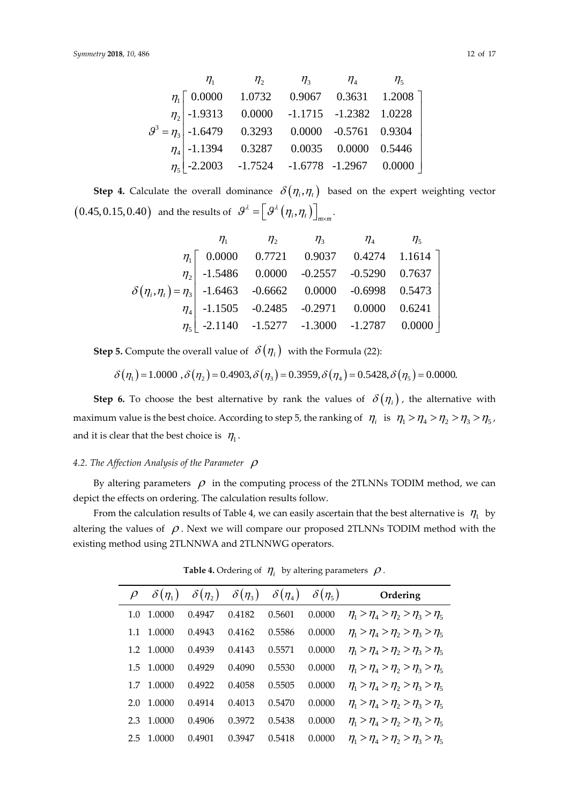|  | $\eta_1$ $\eta_2$ $\eta_3$ $\eta_4$ $\eta_5$                                                                                                                                                                   |  |  |
|--|----------------------------------------------------------------------------------------------------------------------------------------------------------------------------------------------------------------|--|--|
|  | $\eta_1$ $\begin{bmatrix} 0.0000 & 1.0732 & 0.9067 & 0.3631 & 1.2008 \end{bmatrix}$                                                                                                                            |  |  |
|  |                                                                                                                                                                                                                |  |  |
|  |                                                                                                                                                                                                                |  |  |
|  |                                                                                                                                                                                                                |  |  |
|  | $g^3 = \eta_3$ -1.9313 0.0000 -1.1715 -1.2382 1.0228<br>$g^3 = \eta_3$ -1.6479 0.3293 0.0000 -0.5761 0.9304<br>$\eta_4$ -1.1394 0.3287 0.0035 0.0000 0.5446<br>$\eta_5$ -2.2003 -1.7524 -1.6778 -1.2967 0.0000 |  |  |

**Step 4.** Calculate the overall dominance  $\delta(\eta_i, \eta_i)$  based on the expert weighting vector  $\left(0.45, 0.15, 0.40\right)$  and the results of  $\left. \mathcal{S}^{\lambda} \right. = \left\lfloor \left. \mathcal{S}^{\lambda} \left( \eta_{i}, \eta_{i} \right) \right\rfloor \right\rceil_{m \times m}$  $\left. = \left[ \, \mathbf{\mathcal{G}}^{\mathbf{\boldsymbol{\lambda}}} \left( \boldsymbol{\eta}_{i}, \boldsymbol{\eta}_{t} \, \right) \right]_{m \times m}.$ 

|                                                                         |                                                 | $\eta_1$ $\eta_2$ $\eta_3$ $\eta_4$ $\eta_5$ |  |  |
|-------------------------------------------------------------------------|-------------------------------------------------|----------------------------------------------|--|--|
|                                                                         | $\eta_1$   0.0000 0.7721 0.9037 0.4274 1.1614   |                                              |  |  |
|                                                                         | $\eta_2$ -1.5486 0.0000 -0.2557 -0.5290 0.7637  |                                              |  |  |
| $\delta(\eta_i, \eta_i) = \eta_3$ -1.6463 -0.6662 0.0000 -0.6998 0.5473 |                                                 |                                              |  |  |
|                                                                         | $\eta_4$ -1.1505 -0.2485 -0.2971 0.0000 0.6241  |                                              |  |  |
|                                                                         | $\eta_5$ -2.1140 -1.5277 -1.3000 -1.2787 0.0000 |                                              |  |  |

**Step 5.** Compute the overall value of  $\delta(\eta_i)$  with the Formula (22):

$$
\delta(\eta_1) = 1.0000 \text{ , } \delta(\eta_2) = 0.4903, \delta(\eta_3) = 0.3959, \delta(\eta_4) = 0.5428, \delta(\eta_5) = 0.0000.
$$

**Step 6.** To choose the best alternative by rank the values of  $\delta(\eta_i)$ , the alternative with maximum value is the best choice. According to step 5, the ranking of  $\eta_i$  is  $\eta_1 > \eta_4 > \eta_2 > \eta_3 > \eta_5$ , and it is clear that the best choice is  $\,\eta_{_{\rm l}}^{}$  .

#### 4.2. The Affection Analysis of the Parameter  $\rho$

By altering parameters  $\rho$  in the computing process of the 2TLNNs TODIM method, we can depict the effects on ordering. The calculation results follow.

From the calculation results of Table 4, we can easily ascertain that the best alternative is  $\eta_1^-$  by altering the values of  $\rho$ . Next we will compare our proposed 2TLNNs TODIM method with the existing method using 2TLNNWA and 2TLNNWG operators.

|               | $\delta(\eta_1)$ | $\delta(\eta_2)$ | $\delta(\eta_3)$ | $\delta(\eta_4)$ | $\delta(\eta_5)$ | Ordering                                     |
|---------------|------------------|------------------|------------------|------------------|------------------|----------------------------------------------|
| 1.0           | 1.0000           | 0.4947           | 0.4182           | 0.5601           | 0.0000           | $\eta_1 > \eta_4 > \eta_2 > \eta_3 > \eta_5$ |
| 1.1           | 1.0000           | 0.4943           | 0.4162           | 0.5586           | 0.0000           | $\eta_1 > \eta_4 > \eta_2 > \eta_3 > \eta_5$ |
| 1.2           | 1.0000           | 0.4939           | 0.4143           | 0.5571           | 0.0000           | $\eta_1 > \eta_4 > \eta_2 > \eta_3 > \eta_5$ |
|               | 1.5 1.0000       | 0.4929           | 0.4090           | 0.5530           | 0.0000           | $\eta_1 > \eta_4 > \eta_2 > \eta_3 > \eta_5$ |
| 1.7           | 1.0000           | 0.4922           | 0.4058           | 0.5505           | 0.0000           | $\eta_1 > \eta_4 > \eta_2 > \eta_3 > \eta_5$ |
| 2.0           | 1.0000           | 0.4914           | 0.4013           | 0.5470           | 0.0000           | $\eta_1 > \eta_4 > \eta_2 > \eta_3 > \eta_5$ |
| 2.3           | 1.0000           | 0.4906           | 0.3972           | 0.5438           | 0.0000           | $\eta_1 > \eta_4 > \eta_2 > \eta_3 > \eta_5$ |
| $2.5^{\circ}$ | 1.0000           | 0.4901           | 0.3947           | 0.5418           | 0.0000           | $\eta_1 > \eta_4 > \eta_2 > \eta_3 > \eta_5$ |

**Table 4.** Ordering of  $\eta$ , by altering parameters  $\rho$ .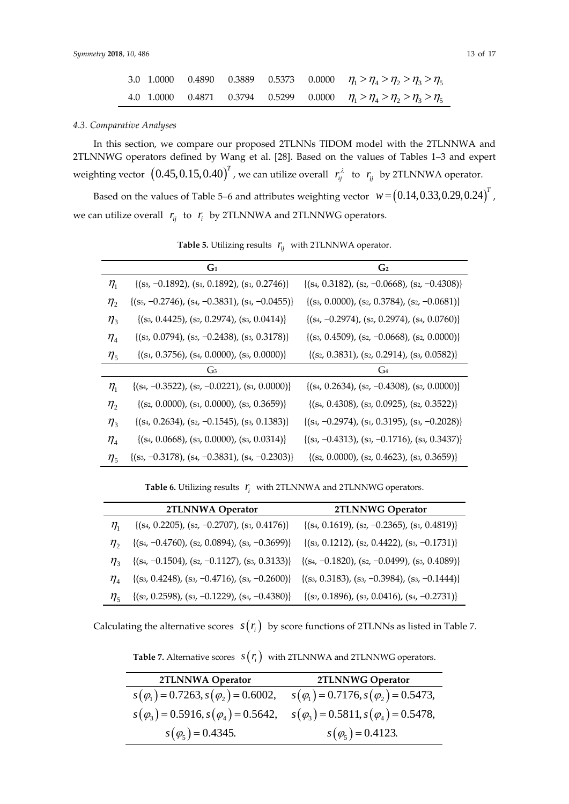|  |  |  | 3.0 1.0000 0.4890 0.3889 0.5373 0.0000 $\eta_1 > \eta_2 > \eta_2 > \eta_3 > \eta_5$ |
|--|--|--|-------------------------------------------------------------------------------------|
|  |  |  | 4.0 1.0000 0.4871 0.3794 0.5299 0.0000 $\eta_1 > \eta_2 > \eta_2 > \eta_3 > \eta_5$ |

#### *4.3. Comparative Analyses*

In this section, we compare our proposed 2TLNNs TIDOM model with the 2TLNNWA and 2TLNNWG operators defined by Wang et al. [28]. Based on the values of Tables 1–3 and expert weighting vector  $\left(0.45,0.15,0.40\right)^{T}$  , we can utilize overall  $\left|r_{ij}^{\lambda}\right|$  to  $\left|r_{ij}\right|$  by 2TLNNWA operator.

Based on the values of Table 5–6 and attributes weighting vector  $w = (0.14, 0.33, 0.29, 0.24)^T$  , we can utilize overall  $r_{ij}$  to  $r_i$  by 2TLNNWA and 2TLNNWG operators.

|                               | $G_1$                                                 | G <sub>2</sub>                                       |
|-------------------------------|-------------------------------------------------------|------------------------------------------------------|
| $\eta_{\scriptscriptstyle 1}$ | $\{(s_5, -0.1892), (s_1, 0.1892), (s_1, 0.2746)\}\$   | $\{(s_4, 0.3182), (s_2, -0.0668), (s_2, -0.4308)\}\$ |
| $\eta_{2}$                    | $\{(s_5, -0.2746), (s_4, -0.3831), (s_4, -0.0455)\}\$ | $\{(s_3, 0.0000), (s_2, 0.3784), (s_2, -0.0681)\}\$  |
| $\eta_{3}$                    | $\{(s_3, 0.4425), (s_2, 0.2974), (s_3, 0.0414)\}\$    | $\{(s_4, -0.2974), (s_2, 0.2974), (s_4, 0.0760)\}\$  |
| $\eta_{\scriptscriptstyle 4}$ | $\{(s_3, 0.0794), (s_3, -0.2438), (s_3, 0.3178)\}\$   | $\{(s_3, 0.4509), (s_2, -0.0668), (s_2, 0.0000)\}\$  |
| $\eta_{5}$                    | $\{(s_1, 0.3756), (s_4, 0.0000), (s_5, 0.0000)\}\$    | $\{(s_2, 0.3831), (s_2, 0.2914), (s_3, 0.0582)\}\$   |
|                               | G <sub>3</sub>                                        | $G_4$                                                |
| $\eta_{\scriptscriptstyle 1}$ | $\{(s_4, -0.3522), (s_2, -0.0221), (s_1, 0.0000)\}\$  | $\{(s_4, 0.2634), (s_2, -0.4308), (s_2, 0.0000)\}\$  |
| $\eta_{2}$                    | $\{(s_2, 0.0000), (s_1, 0.0000), (s_3, 0.3659)\}\$    | $\{(s_4, 0.4308), (s_3, 0.0925), (s_2, 0.3522)\}\$   |
| $\eta_{3}$                    | $\{(s_4, 0.2634), (s_2, -0.1545), (s_3, 0.1383)\}\$   | $\{(s_4, -0.2974), (s_1, 0.3195), (s_3, -0.2028)\}\$ |
| $\eta_{\scriptscriptstyle 4}$ | $\{(s_4, 0.0668), (s_3, 0.0000), (s_3, 0.0314)\}\$    | $\{(s_3, -0.4313), (s_3, -0.1716), (s_3, 0.3437)\}\$ |
| $\eta_{5}$                    | $\{(s_3, -0.3178), (s_4, -0.3831), (s_4, -0.2303)\}\$ | $\{(s_2, 0.0000), (s_2, 0.4623), (s_3, 0.3659)\}\$   |

**Table 5.** Utilizing results *ij r* with 2TLNNWA operator.

**Table 6.** Utilizing results *i <sup>r</sup>* with 2TLNNWA and 2TLNNWG operators.

|                                | 2TLNNWA Operator                                     | 2TLNNWG Operator                                     |
|--------------------------------|------------------------------------------------------|------------------------------------------------------|
| $\eta_{\scriptscriptstyle 1}$  | $\{(s_4, 0.2205), (s_2, -0.2707), (s_1, 0.4176)\}\$  | $\{(s_4, 0.1619), (s_2, -0.2365), (s_1, 0.4819)\}\$  |
| $\eta_{\gamma}$                | ${(s_4, -0.4760), (s_2, 0.0894), (s_3, -0.3699)}$    | $\{(s_3, 0.1212), (s_2, 0.4422), (s_3, -0.1731)\}\$  |
| $n_{\scriptscriptstyle 2}$     | $\{(s_4, -0.1504), (s_2, -0.1127), (s_3, 0.3133)\}\$ | $\{(s_4, -0.1820), (s_2, -0.0499), (s_3, 0.4089)\}\$ |
| $\eta_{\scriptscriptstyle{A}}$ | $\{(s_3, 0.4248), (s_3, -0.4716), (s_3, -0.2600)\}\$ | $\{(s_3, 0.3183), (s_3, -0.3984), (s_3, -0.1444)\}\$ |
| $\eta_{\zeta}$                 | $\{(s_2, 0.2598), (s_3, -0.1229), (s_4, -0.4380)\}\$ | $\{(s_2, 0.1896), (s_3, 0.0416), (s_4, -0.2731)\}\$  |

Calculating the alternative scores  $s(r_i)$  by score functions of 2TLNNs as listed in Table 7.

**Table 7.** Alternative scores  $s(r_i)$  with 2TLNNWA and 2TLNNWG operators.

| 2TLNNWA Operator                                | 2TLNNWG Operator                                |
|-------------------------------------------------|-------------------------------------------------|
| $s(\varphi_1) = 0.7263, s(\varphi_2) = 0.6002,$ | $s(\varphi_1) = 0.7176, s(\varphi_2) = 0.5473,$ |
| $s(\varphi_3) = 0.5916, s(\varphi_4) = 0.5642,$ | $s(\varphi_3) = 0.5811, s(\varphi_4) = 0.5478,$ |
| $s(\varphi_5) = 0.4345.$                        | $s(\varphi_5) = 0.4123.$                        |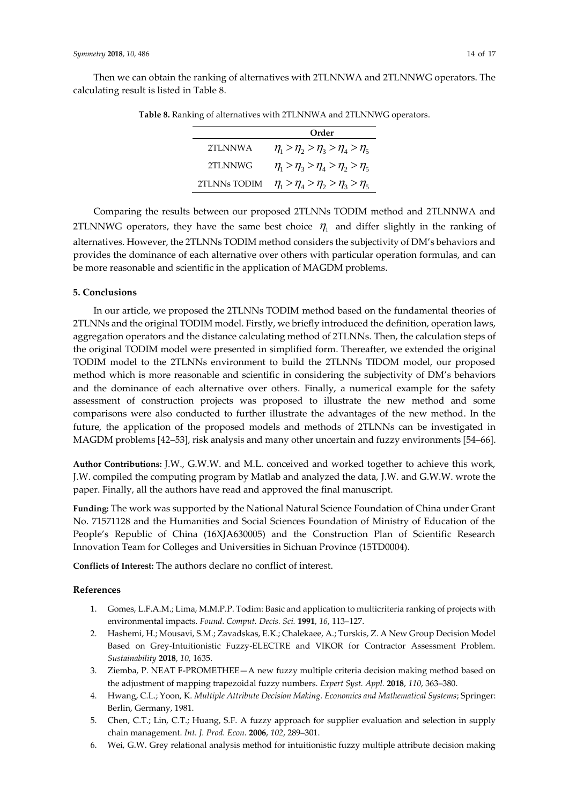Then we can obtain the ranking of alternatives with 2TLNNWA and 2TLNNWG operators. The calculating result is listed in Table 8.

|              | Order                                        |
|--------------|----------------------------------------------|
| 2TI NNWA     | $\eta_1 > \eta_2 > \eta_3 > \eta_4 > \eta_5$ |
| 2TLNNWG      | $\eta_1 > \eta_3 > \eta_4 > \eta_2 > \eta_5$ |
| 2TLNNs TODIM | $\eta_1 > \eta_4 > \eta_2 > \eta_3 > \eta_5$ |

**Table 8.** Ranking of alternatives with 2TLNNWA and 2TLNNWG operators.

Comparing the results between our proposed 2TLNNs TODIM method and 2TLNNWA and 2TLNNWG operators, they have the same best choice  $\eta_1$  and differ slightly in the ranking of alternatives. However, the 2TLNNs TODIM method considers the subjectivity of DM's behaviors and provides the dominance of each alternative over others with particular operation formulas, and can be more reasonable and scientific in the application of MAGDM problems.

## **5. Conclusions**

In our article, we proposed the 2TLNNs TODIM method based on the fundamental theories of 2TLNNs and the original TODIM model. Firstly, we briefly introduced the definition, operation laws, aggregation operators and the distance calculating method of 2TLNNs. Then, the calculation steps of the original TODIM model were presented in simplified form. Thereafter, we extended the original TODIM model to the 2TLNNs environment to build the 2TLNNs TIDOM model, our proposed method which is more reasonable and scientific in considering the subjectivity of DM's behaviors and the dominance of each alternative over others. Finally, a numerical example for the safety assessment of construction projects was proposed to illustrate the new method and some comparisons were also conducted to further illustrate the advantages of the new method. In the future, the application of the proposed models and methods of 2TLNNs can be investigated in MAGDM problems [42–53], risk analysis and many other uncertain and fuzzy environments [54–66].

**Author Contributions:** J.W., G.W.W. and M.L. conceived and worked together to achieve this work, J.W. compiled the computing program by Matlab and analyzed the data, J.W. and G.W.W. wrote the paper. Finally, all the authors have read and approved the final manuscript.

**Funding:** The work was supported by the National Natural Science Foundation of China under Grant No. 71571128 and the Humanities and Social Sciences Foundation of Ministry of Education of the People's Republic of China (16XJA630005) and the Construction Plan of Scientific Research Innovation Team for Colleges and Universities in Sichuan Province (15TD0004).

**Conflicts of Interest:** The authors declare no conflict of interest.

## **References**

- 1. Gomes, L.F.A.M.; Lima, M.M.P.P. Todim: Basic and application to multicriteria ranking of projects with environmental impacts. *Found. Comput. Decis. Sci.* **1991**, *16*, 113–127.
- 2. Hashemi, H.; Mousavi, S.M.; Zavadskas, E.K.; Chalekaee, A.; Turskis, Z. A New Group Decision Model Based on Grey-Intuitionistic Fuzzy-ELECTRE and VIKOR for Contractor Assessment Problem. *Sustainability* **2018**, *10*, 1635.
- 3. Ziemba, P. NEAT F-PROMETHEE—A new fuzzy multiple criteria decision making method based on the adjustment of mapping trapezoidal fuzzy numbers. *Expert Syst. Appl.* **2018**, *110*, 363–380.
- 4. Hwang, C.L.; Yoon, K. *Multiple Attribute Decision Making. Economics and Mathematical Systems*; Springer: Berlin, Germany, 1981.
- 5. Chen, C.T.; Lin, C.T.; Huang, S.F. A fuzzy approach for supplier evaluation and selection in supply chain management. *Int. J. Prod. Econ.* **2006**, *102*, 289–301.
- 6. Wei, G.W. Grey relational analysis method for intuitionistic fuzzy multiple attribute decision making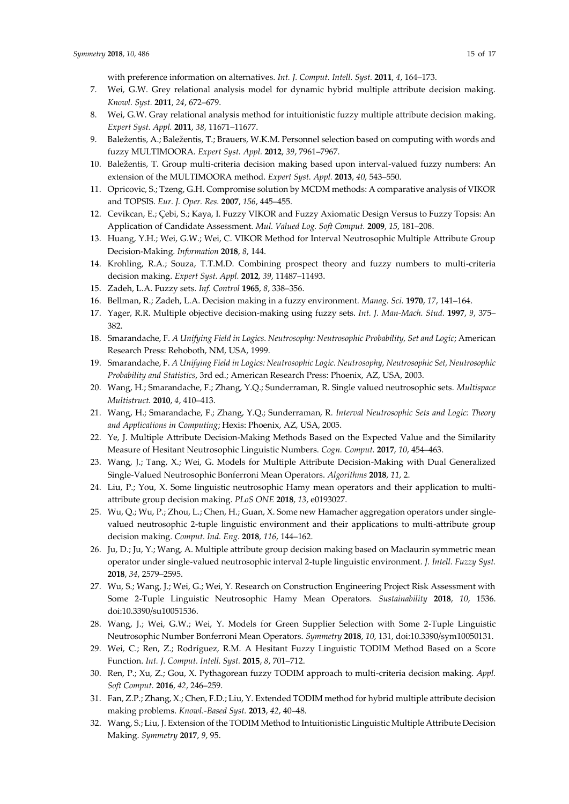- 7. Wei, G.W. Grey relational analysis model for dynamic hybrid multiple attribute decision making. *Knowl. Syst.* **2011**, *24*, 672–679.
- 8. Wei, G.W. Gray relational analysis method for intuitionistic fuzzy multiple attribute decision making. *Expert Syst. Appl.* **2011**, *38*, 11671–11677.
- 9. Baležentis, A.; Baležentis, T.; Brauers, W.K.M. Personnel selection based on computing with words and fuzzy MULTIMOORA. *Expert Syst. Appl.* **2012**, *39*, 7961–7967.
- 10. Baležentis, T. Group multi-criteria decision making based upon interval-valued fuzzy numbers: An extension of the MULTIMOORA method. *Expert Syst. Appl.* **2013**, *40*, 543–550.
- 11. Opricovic, S.; Tzeng, G.H. Compromise solution by MCDM methods: A comparative analysis of VIKOR and TOPSIS. *Eur. J. Oper. Res.* **2007**, *156*, 445–455.
- 12. Cevikcan, E.; Çebi, S.; Kaya, I. Fuzzy VIKOR and Fuzzy Axiomatic Design Versus to Fuzzy Topsis: An Application of Candidate Assessment. *Mul. Valued Log. Soft Comput.* **2009**, *15*, 181–208.
- 13. Huang, Y.H.; Wei, G.W.; Wei, C. VIKOR Method for Interval Neutrosophic Multiple Attribute Group Decision-Making. *Information* **2018**, *8*, 144.
- 14. Krohling, R.A.; Souza, T.T.M.D. Combining prospect theory and fuzzy numbers to multi-criteria decision making. *Expert Syst. Appl.* **2012**, *39*, 11487–11493.
- 15. Zadeh, L.A. Fuzzy sets. *Inf. Control* **1965**, *8*, 338–356.
- 16. Bellman, R.; Zadeh, L.A. Decision making in a fuzzy environment. *Manag. Sci.* **1970**, *17*, 141–164.
- 17. Yager, R.R. Multiple objective decision-making using fuzzy sets. *Int. J. Man-Mach. Stud.* **1997**, *9*, 375– 382.
- 18. Smarandache, F. *A Unifying Field in Logics. Neutrosophy: Neutrosophic Probability, Set and Logic*; American Research Press: Rehoboth, NM, USA, 1999.
- 19. Smarandache, F. *A Unifying Field in Logics: Neutrosophic Logic. Neutrosophy, Neutrosophic Set, Neutrosophic Probability and Statistics*, 3rd ed.; American Research Press: Phoenix, AZ, USA, 2003.
- 20. Wang, H.; Smarandache, F.; Zhang, Y.Q.; Sunderraman, R. Single valued neutrosophic sets. *Multispace Multistruct.* **2010**, *4*, 410–413.
- 21. Wang, H.; Smarandache, F.; Zhang, Y.Q.; Sunderraman, R. *Interval Neutrosophic Sets and Logic: Theory and Applications in Computing*; Hexis: Phoenix, AZ, USA, 2005.
- 22. Ye, J. Multiple Attribute Decision-Making Methods Based on the Expected Value and the Similarity Measure of Hesitant Neutrosophic Linguistic Numbers. *Cogn. Comput.* **2017**, *10*, 454–463.
- 23. Wang, J.; Tang, X.; Wei, G. Models for Multiple Attribute Decision-Making with Dual Generalized Single-Valued Neutrosophic Bonferroni Mean Operators. *Algorithms* **2018**, *11*, 2.
- 24. Liu, P.; You, X. Some linguistic neutrosophic Hamy mean operators and their application to multiattribute group decision making. *PLoS ONE* **2018**, *13*, e0193027.
- 25. Wu, Q.; Wu, P.; Zhou, L.; Chen, H.; Guan, X. Some new Hamacher aggregation operators under singlevalued neutrosophic 2-tuple linguistic environment and their applications to multi-attribute group decision making. *Comput. Ind. Eng.* **2018**, *116*, 144–162.
- 26. Ju, D.; Ju, Y.; Wang, A. Multiple attribute group decision making based on Maclaurin symmetric mean operator under single-valued neutrosophic interval 2-tuple linguistic environment. *J. Intell. Fuzzy Syst.* **2018**, *34*, 2579–2595.
- 27. Wu, S.; Wang, J.; Wei, G.; Wei, Y. Research on Construction Engineering Project Risk Assessment with Some 2-Tuple Linguistic Neutrosophic Hamy Mean Operators. *Sustainability* **2018**, *10*, 1536. doi:10.3390/su10051536.
- 28. Wang, J.; Wei, G.W.; Wei, Y. Models for Green Supplier Selection with Some 2-Tuple Linguistic Neutrosophic Number Bonferroni Mean Operators. *Symmetry* **2018**, *10*, 131, doi:10.3390/sym10050131.
- 29. Wei, C.; Ren, Z.; Rodríguez, R.M. A Hesitant Fuzzy Linguistic TODIM Method Based on a Score Function. *Int. J. Comput. Intell. Syst.* **2015**, *8*, 701–712.
- 30. Ren, P.; Xu, Z.; Gou, X. Pythagorean fuzzy TODIM approach to multi-criteria decision making. *Appl. Soft Comput.* **2016**, *42*, 246–259.
- 31. Fan, Z.P.; Zhang, X.; Chen, F.D.; Liu, Y. Extended TODIM method for hybrid multiple attribute decision making problems. *Knowl.-Based Syst.* **2013**, *42*, 40–48.
- 32. Wang, S.; Liu, J. Extension of the TODIM Method to Intuitionistic Linguistic Multiple Attribute Decision Making. *Symmetry* **2017**, *9*, 95.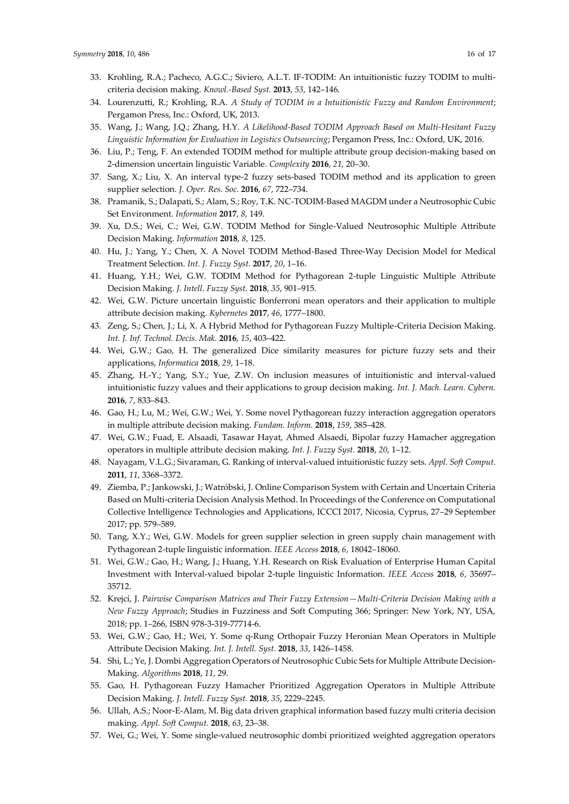- 33. Krohling, R.A.; Pacheco, A.G.C.; Siviero, A.L.T. IF-TODIM: An intuitionistic fuzzy TODIM to multicriteria decision making. *Knowl.-Based Syst.* **2013**, *53*, 142–146.
- 34. Lourenzutti, R.; Krohling, R.A. *A Study of TODIM in a Intuitionistic Fuzzy and Random Environment*; Pergamon Press, Inc.: Oxford, UK, 2013.
- 35. Wang, J.; Wang, J.Q.; Zhang, H.Y. *A Likelihood-Based TODIM Approach Based on Multi-Hesitant Fuzzy Linguistic Information for Evaluation in Logistics Outsourcing*; Pergamon Press, Inc.: Oxford, UK, 2016.
- 36. Liu, P.; Teng, F. An extended TODIM method for multiple attribute group decision-making based on 2-dimension uncertain linguistic Variable. *Complexity* **2016**, *21*, 20–30.
- 37. Sang, X.; Liu, X. An interval type-2 fuzzy sets-based TODIM method and its application to green supplier selection. *J. Oper. Res. Soc.* **2016**, *67*, 722–734.
- 38. Pramanik, S.; Dalapati, S.; Alam, S.; Roy, T.K. NC-TODIM-Based MAGDM under a Neutrosophic Cubic Set Environment. *Information* **2017**, *8*, 149.
- 39. Xu, D.S.; Wei, C.; Wei, G.W. TODIM Method for Single-Valued Neutrosophic Multiple Attribute Decision Making. *Information* **2018**, *8*, 125.
- 40. Hu, J.; Yang, Y.; Chen, X. A Novel TODIM Method-Based Three-Way Decision Model for Medical Treatment Selection. *Int. J. Fuzzy Syst.* **2017**, *20*, 1–16.
- 41. Huang, Y.H.; Wei, G.W. TODIM Method for Pythagorean 2-tuple Linguistic Multiple Attribute Decision Making. *J. Intell. Fuzzy Syst.* **2018**, *35*, 901–915.
- 42. Wei, G.W. Picture uncertain linguistic Bonferroni mean operators and their application to multiple attribute decision making. *Kybernetes* **2017**, *46*, 1777–1800.
- 43. Zeng, S.; Chen, J.; Li, X. A Hybrid Method for Pythagorean Fuzzy Multiple-Criteria Decision Making. *Int. J. Inf. Technol. Decis. Mak.* **2016**, *15*, 403–422.
- 44. Wei, G.W.; Gao, H. The generalized Dice similarity measures for picture fuzzy sets and their applications, *Informatica* **2018**, *29*, 1–18.
- 45. Zhang, H.-Y.; Yang, S.Y.; Yue, Z.W. On inclusion measures of intuitionistic and interval-valued intuitionistic fuzzy values and their applications to group decision making. *Int. J. Mach. Learn. Cybern.* **2016**, *7*, 833–843.
- 46. Gao, H.; Lu, M.; Wei, G.W.; Wei, Y. Some novel Pythagorean fuzzy interaction aggregation operators in multiple attribute decision making. *Fundam. Inform.* **2018**, *159*, 385–428.
- 47. Wei, G.W.; Fuad, E. Alsaadi, Tasawar Hayat, Ahmed Alsaedi, Bipolar fuzzy Hamacher aggregation operators in multiple attribute decision making. *Int. J. Fuzzy Syst.* **2018**, *20*, 1–12.
- 48. Nayagam, V.L.G.; Sivaraman, G. Ranking of interval-valued intuitionistic fuzzy sets. *Appl. Soft Comput.* **2011**, *11*, 3368–3372.
- 49. Ziemba, P.; Jankowski, J.; Watróbski, J. Online Comparison System with Certain and Uncertain Criteria Based on Multi-criteria Decision Analysis Method. In Proceedings of the Conference on Computational Collective Intelligence Technologies and Applications, ICCCI 2017, Nicosia, Cyprus, 27–29 September 2017; pp. 579–589.
- 50. Tang, X.Y.; Wei, G.W. Models for green supplier selection in green supply chain management with Pythagorean 2-tuple linguistic information. *IEEE Access* **2018**, *6*, 18042–18060.
- 51. Wei, G.W.; Gao, H.; Wang, J.; Huang, Y.H. Research on Risk Evaluation of Enterprise Human Capital Investment with Interval-valued bipolar 2-tuple linguistic Information. *IEEE Access* **2018**, *6*, 35697– 35712.
- 52. Krejcí, J. *Pairwise Comparison Matrices and Their Fuzzy Extension—Multi-Criteria Decision Making with a New Fuzzy Approach*; Studies in Fuzziness and Soft Computing 366; Springer: New York, NY, USA, 2018; pp. 1–266, ISBN 978-3-319-77714-6.
- 53. Wei, G.W.; Gao, H.; Wei, Y. Some q-Rung Orthopair Fuzzy Heronian Mean Operators in Multiple Attribute Decision Making. *Int. J. Intell. Syst.* **2018**, *33*, 1426–1458.
- 54. Shi, L.; Ye, J. Dombi Aggregation Operators of Neutrosophic Cubic Sets for Multiple Attribute Decision-Making. *Algorithms* **2018**, *11*, 29.
- 55. Gao, H. Pythagorean Fuzzy Hamacher Prioritized Aggregation Operators in Multiple Attribute Decision Making. *J. Intell. Fuzzy Syst.* **2018**, *35*, 2229–2245.
- 56. Ullah, A.S.; Noor-E-Alam, M. Big data driven graphical information based fuzzy multi criteria decision making. *Appl. Soft Comput.* **2018**, *63*, 23–38.
- 57. Wei, G.; Wei, Y. Some single-valued neutrosophic dombi prioritized weighted aggregation operators